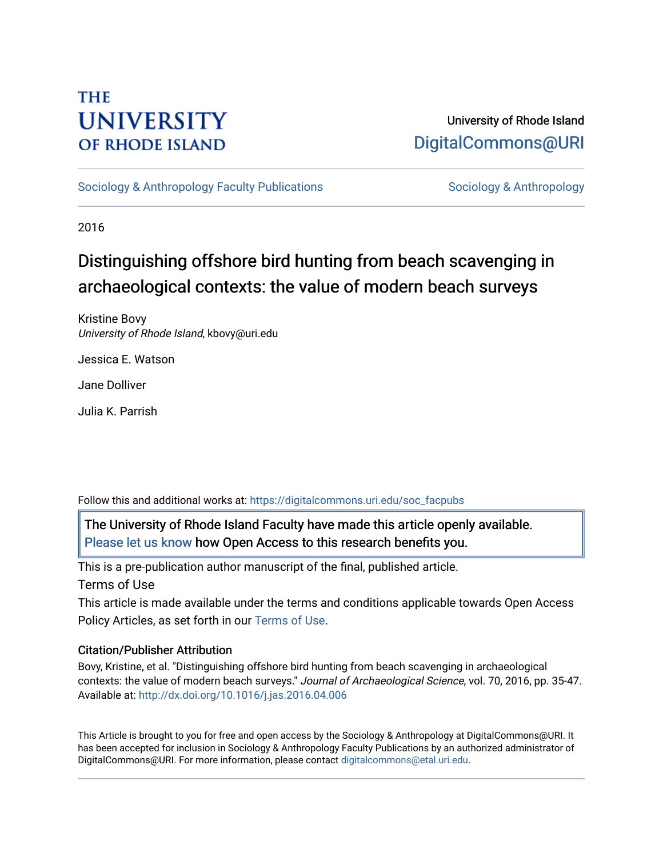# **THE UNIVERSITY OF RHODE ISLAND**

### University of Rhode Island [DigitalCommons@URI](https://digitalcommons.uri.edu/)

[Sociology & Anthropology Faculty Publications](https://digitalcommons.uri.edu/soc_facpubs) [Sociology & Anthropology](https://digitalcommons.uri.edu/soc) & Anthropology

2016

# Distinguishing offshore bird hunting from beach scavenging in archaeological contexts: the value of modern beach surveys

Kristine Bovy University of Rhode Island, kbovy@uri.edu

Jessica E. Watson

Jane Dolliver

Julia K. Parrish

Follow this and additional works at: [https://digitalcommons.uri.edu/soc\\_facpubs](https://digitalcommons.uri.edu/soc_facpubs?utm_source=digitalcommons.uri.edu%2Fsoc_facpubs%2F10&utm_medium=PDF&utm_campaign=PDFCoverPages) 

The University of Rhode Island Faculty have made this article openly available. [Please let us know](http://web.uri.edu/library-digital-initiatives/open-access-online-form/) how Open Access to this research benefits you.

This is a pre-publication author manuscript of the final, published article.

Terms of Use

This article is made available under the terms and conditions applicable towards Open Access Policy Articles, as set forth in our [Terms of Use](https://digitalcommons.uri.edu/soc_facpubs/oa_policy_terms.html).

#### Citation/Publisher Attribution

Bovy, Kristine, et al. "Distinguishing offshore bird hunting from beach scavenging in archaeological contexts: the value of modern beach surveys." Journal of Archaeological Science, vol. 70, 2016, pp. 35-47. Available at:<http://dx.doi.org/10.1016/j.jas.2016.04.006>

This Article is brought to you for free and open access by the Sociology & Anthropology at DigitalCommons@URI. It has been accepted for inclusion in Sociology & Anthropology Faculty Publications by an authorized administrator of DigitalCommons@URI. For more information, please contact [digitalcommons@etal.uri.edu.](mailto:digitalcommons@etal.uri.edu)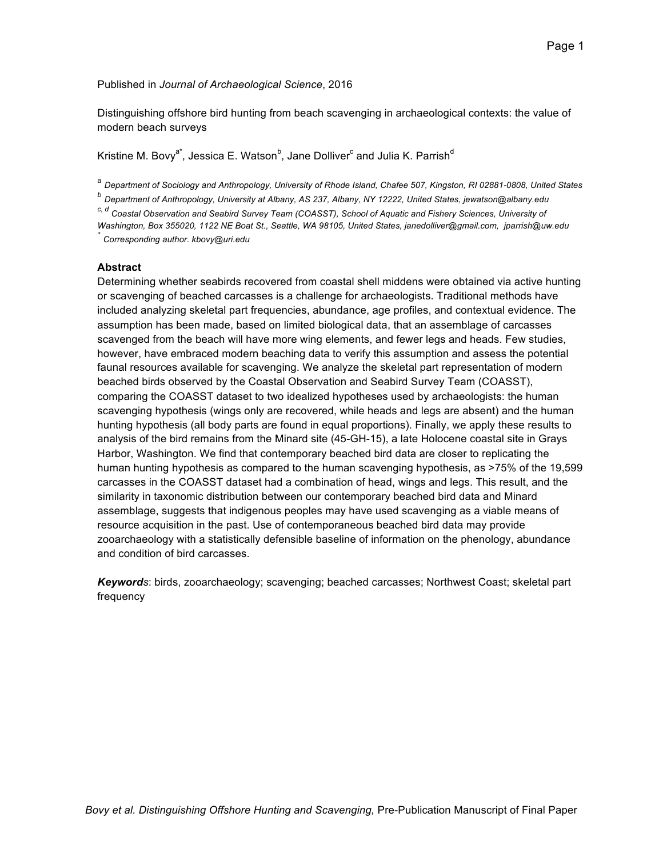#### Published in *Journal of Archaeological Science*, 2016

Distinguishing offshore bird hunting from beach scavenging in archaeological contexts: the value of modern beach surveys

Kristine M. Bovy $^{\sf a^*},$  Jessica E. Watson $^{\sf b}$ , Jane Dolliver $^{\sf c}$  and Julia K. Parrish $^{\sf d}$ 

*<sup>a</sup> Department of Sociology and Anthropology, University of Rhode Island, Chafee 507, Kingston, RI 02881-0808, United States*

*<sup>b</sup> Department of Anthropology, University at Albany, AS 237, Albany, NY 12222, United States, jewatson@albany.edu*

*c, d Coastal Observation and Seabird Survey Team (COASST), School of Aquatic and Fishery Sciences, University of* 

*Washington, Box 355020, 1122 NE Boat St., Seattle, WA 98105, United States, janedolliver@gmail.com, jparrish@uw.edu \* Corresponding author. kbovy@uri.edu*

#### **Abstract**

Determining whether seabirds recovered from coastal shell middens were obtained via active hunting or scavenging of beached carcasses is a challenge for archaeologists. Traditional methods have included analyzing skeletal part frequencies, abundance, age profiles, and contextual evidence. The assumption has been made, based on limited biological data, that an assemblage of carcasses scavenged from the beach will have more wing elements, and fewer legs and heads. Few studies, however, have embraced modern beaching data to verify this assumption and assess the potential faunal resources available for scavenging. We analyze the skeletal part representation of modern beached birds observed by the Coastal Observation and Seabird Survey Team (COASST), comparing the COASST dataset to two idealized hypotheses used by archaeologists: the human scavenging hypothesis (wings only are recovered, while heads and legs are absent) and the human hunting hypothesis (all body parts are found in equal proportions). Finally, we apply these results to analysis of the bird remains from the Minard site (45-GH-15), a late Holocene coastal site in Grays Harbor, Washington. We find that contemporary beached bird data are closer to replicating the human hunting hypothesis as compared to the human scavenging hypothesis, as >75% of the 19,599 carcasses in the COASST dataset had a combination of head, wings and legs. This result, and the similarity in taxonomic distribution between our contemporary beached bird data and Minard assemblage, suggests that indigenous peoples may have used scavenging as a viable means of resource acquisition in the past. Use of contemporaneous beached bird data may provide zooarchaeology with a statistically defensible baseline of information on the phenology, abundance and condition of bird carcasses.

*Keywords*: birds, zooarchaeology; scavenging; beached carcasses; Northwest Coast; skeletal part frequency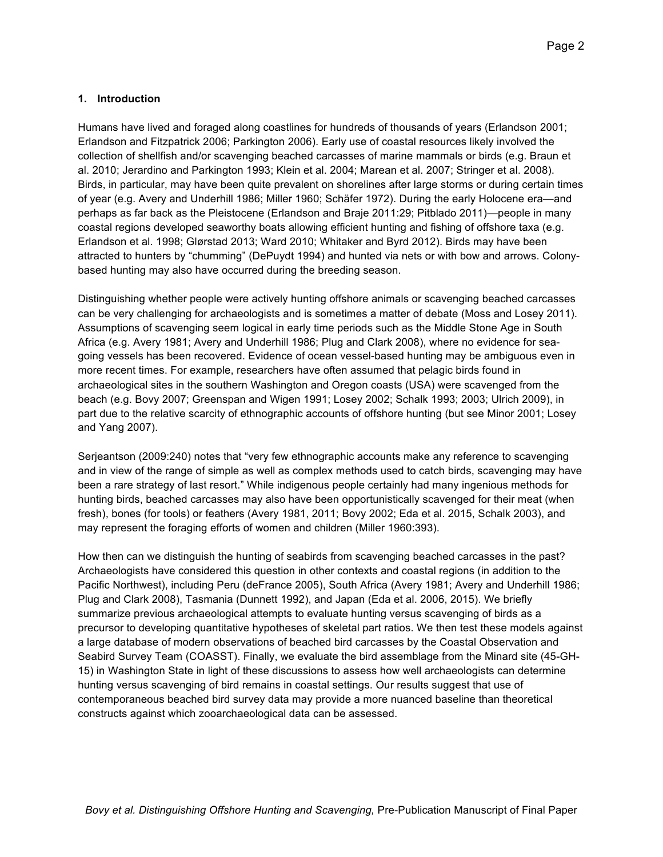#### **1. Introduction**

Humans have lived and foraged along coastlines for hundreds of thousands of years (Erlandson 2001; Erlandson and Fitzpatrick 2006; Parkington 2006). Early use of coastal resources likely involved the collection of shellfish and/or scavenging beached carcasses of marine mammals or birds (e.g. Braun et al. 2010; Jerardino and Parkington 1993; Klein et al. 2004; Marean et al. 2007; Stringer et al. 2008). Birds, in particular, may have been quite prevalent on shorelines after large storms or during certain times of year (e.g. Avery and Underhill 1986; Miller 1960; Schäfer 1972). During the early Holocene era—and perhaps as far back as the Pleistocene (Erlandson and Braje 2011:29; Pitblado 2011)—people in many coastal regions developed seaworthy boats allowing efficient hunting and fishing of offshore taxa (e.g. Erlandson et al. 1998; Glørstad 2013; Ward 2010; Whitaker and Byrd 2012). Birds may have been attracted to hunters by "chumming" (DePuydt 1994) and hunted via nets or with bow and arrows. Colonybased hunting may also have occurred during the breeding season.

Distinguishing whether people were actively hunting offshore animals or scavenging beached carcasses can be very challenging for archaeologists and is sometimes a matter of debate (Moss and Losey 2011). Assumptions of scavenging seem logical in early time periods such as the Middle Stone Age in South Africa (e.g. Avery 1981; Avery and Underhill 1986; Plug and Clark 2008), where no evidence for seagoing vessels has been recovered. Evidence of ocean vessel-based hunting may be ambiguous even in more recent times. For example, researchers have often assumed that pelagic birds found in archaeological sites in the southern Washington and Oregon coasts (USA) were scavenged from the beach (e.g. Bovy 2007; Greenspan and Wigen 1991; Losey 2002; Schalk 1993; 2003; Ulrich 2009), in part due to the relative scarcity of ethnographic accounts of offshore hunting (but see Minor 2001; Losey and Yang 2007).

Serjeantson (2009:240) notes that "very few ethnographic accounts make any reference to scavenging and in view of the range of simple as well as complex methods used to catch birds, scavenging may have been a rare strategy of last resort." While indigenous people certainly had many ingenious methods for hunting birds, beached carcasses may also have been opportunistically scavenged for their meat (when fresh), bones (for tools) or feathers (Avery 1981, 2011; Bovy 2002; Eda et al. 2015, Schalk 2003), and may represent the foraging efforts of women and children (Miller 1960:393).

How then can we distinguish the hunting of seabirds from scavenging beached carcasses in the past? Archaeologists have considered this question in other contexts and coastal regions (in addition to the Pacific Northwest), including Peru (deFrance 2005), South Africa (Avery 1981; Avery and Underhill 1986; Plug and Clark 2008), Tasmania (Dunnett 1992), and Japan (Eda et al. 2006, 2015). We briefly summarize previous archaeological attempts to evaluate hunting versus scavenging of birds as a precursor to developing quantitative hypotheses of skeletal part ratios. We then test these models against a large database of modern observations of beached bird carcasses by the Coastal Observation and Seabird Survey Team (COASST). Finally, we evaluate the bird assemblage from the Minard site (45-GH-15) in Washington State in light of these discussions to assess how well archaeologists can determine hunting versus scavenging of bird remains in coastal settings. Our results suggest that use of contemporaneous beached bird survey data may provide a more nuanced baseline than theoretical constructs against which zooarchaeological data can be assessed.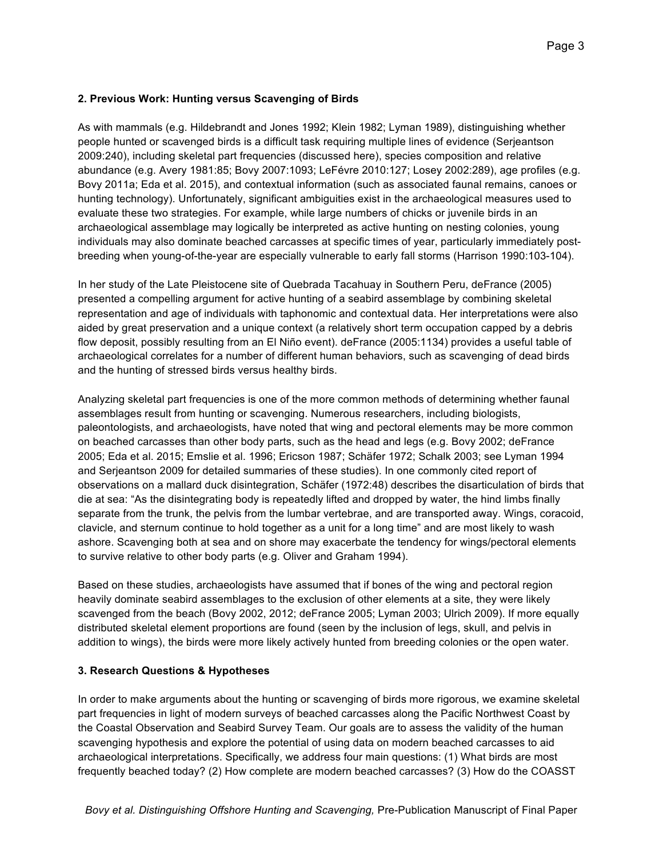#### **2. Previous Work: Hunting versus Scavenging of Birds**

As with mammals (e.g. Hildebrandt and Jones 1992; Klein 1982; Lyman 1989), distinguishing whether people hunted or scavenged birds is a difficult task requiring multiple lines of evidence (Serjeantson 2009:240), including skeletal part frequencies (discussed here), species composition and relative abundance (e.g. Avery 1981:85; Bovy 2007:1093; LeFévre 2010:127; Losey 2002:289), age profiles (e.g. Bovy 2011a; Eda et al. 2015), and contextual information (such as associated faunal remains, canoes or hunting technology). Unfortunately, significant ambiguities exist in the archaeological measures used to evaluate these two strategies. For example, while large numbers of chicks or juvenile birds in an archaeological assemblage may logically be interpreted as active hunting on nesting colonies, young individuals may also dominate beached carcasses at specific times of year, particularly immediately postbreeding when young-of-the-year are especially vulnerable to early fall storms (Harrison 1990:103-104).

In her study of the Late Pleistocene site of Quebrada Tacahuay in Southern Peru, deFrance (2005) presented a compelling argument for active hunting of a seabird assemblage by combining skeletal representation and age of individuals with taphonomic and contextual data. Her interpretations were also aided by great preservation and a unique context (a relatively short term occupation capped by a debris flow deposit, possibly resulting from an El Niño event). deFrance (2005:1134) provides a useful table of archaeological correlates for a number of different human behaviors, such as scavenging of dead birds and the hunting of stressed birds versus healthy birds.

Analyzing skeletal part frequencies is one of the more common methods of determining whether faunal assemblages result from hunting or scavenging. Numerous researchers, including biologists, paleontologists, and archaeologists, have noted that wing and pectoral elements may be more common on beached carcasses than other body parts, such as the head and legs (e.g. Bovy 2002; deFrance 2005; Eda et al. 2015; Emslie et al. 1996; Ericson 1987; Schäfer 1972; Schalk 2003; see Lyman 1994 and Serjeantson 2009 for detailed summaries of these studies). In one commonly cited report of observations on a mallard duck disintegration, Schäfer (1972:48) describes the disarticulation of birds that die at sea: "As the disintegrating body is repeatedly lifted and dropped by water, the hind limbs finally separate from the trunk, the pelvis from the lumbar vertebrae, and are transported away. Wings, coracoid, clavicle, and sternum continue to hold together as a unit for a long time" and are most likely to wash ashore. Scavenging both at sea and on shore may exacerbate the tendency for wings/pectoral elements to survive relative to other body parts (e.g. Oliver and Graham 1994).

Based on these studies, archaeologists have assumed that if bones of the wing and pectoral region heavily dominate seabird assemblages to the exclusion of other elements at a site, they were likely scavenged from the beach (Bovy 2002, 2012; deFrance 2005; Lyman 2003; Ulrich 2009). If more equally distributed skeletal element proportions are found (seen by the inclusion of legs, skull, and pelvis in addition to wings), the birds were more likely actively hunted from breeding colonies or the open water.

#### **3. Research Questions & Hypotheses**

In order to make arguments about the hunting or scavenging of birds more rigorous, we examine skeletal part frequencies in light of modern surveys of beached carcasses along the Pacific Northwest Coast by the Coastal Observation and Seabird Survey Team. Our goals are to assess the validity of the human scavenging hypothesis and explore the potential of using data on modern beached carcasses to aid archaeological interpretations. Specifically, we address four main questions: (1) What birds are most frequently beached today? (2) How complete are modern beached carcasses? (3) How do the COASST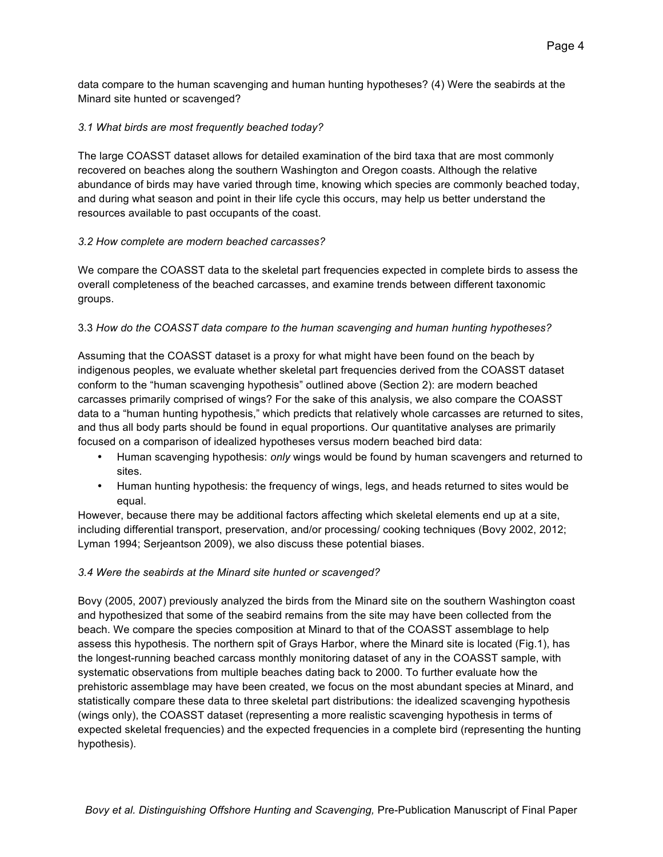data compare to the human scavenging and human hunting hypotheses? (4) Were the seabirds at the Minard site hunted or scavenged?

#### *3.1 What birds are most frequently beached today?*

The large COASST dataset allows for detailed examination of the bird taxa that are most commonly recovered on beaches along the southern Washington and Oregon coasts. Although the relative abundance of birds may have varied through time, knowing which species are commonly beached today, and during what season and point in their life cycle this occurs, may help us better understand the resources available to past occupants of the coast.

#### *3.2 How complete are modern beached carcasses?*

We compare the COASST data to the skeletal part frequencies expected in complete birds to assess the overall completeness of the beached carcasses, and examine trends between different taxonomic groups.

#### 3.3 *How do the COASST data compare to the human scavenging and human hunting hypotheses?*

Assuming that the COASST dataset is a proxy for what might have been found on the beach by indigenous peoples, we evaluate whether skeletal part frequencies derived from the COASST dataset conform to the "human scavenging hypothesis" outlined above (Section 2): are modern beached carcasses primarily comprised of wings? For the sake of this analysis, we also compare the COASST data to a "human hunting hypothesis," which predicts that relatively whole carcasses are returned to sites, and thus all body parts should be found in equal proportions. Our quantitative analyses are primarily focused on a comparison of idealized hypotheses versus modern beached bird data:

- Human scavenging hypothesis: *only* wings would be found by human scavengers and returned to sites.
- Human hunting hypothesis: the frequency of wings, legs, and heads returned to sites would be equal.

However, because there may be additional factors affecting which skeletal elements end up at a site, including differential transport, preservation, and/or processing/ cooking techniques (Bovy 2002, 2012; Lyman 1994; Serjeantson 2009), we also discuss these potential biases.

#### *3.4 Were the seabirds at the Minard site hunted or scavenged?*

Bovy (2005, 2007) previously analyzed the birds from the Minard site on the southern Washington coast and hypothesized that some of the seabird remains from the site may have been collected from the beach. We compare the species composition at Minard to that of the COASST assemblage to help assess this hypothesis. The northern spit of Grays Harbor, where the Minard site is located (Fig.1), has the longest-running beached carcass monthly monitoring dataset of any in the COASST sample, with systematic observations from multiple beaches dating back to 2000. To further evaluate how the prehistoric assemblage may have been created, we focus on the most abundant species at Minard, and statistically compare these data to three skeletal part distributions: the idealized scavenging hypothesis (wings only), the COASST dataset (representing a more realistic scavenging hypothesis in terms of expected skeletal frequencies) and the expected frequencies in a complete bird (representing the hunting hypothesis).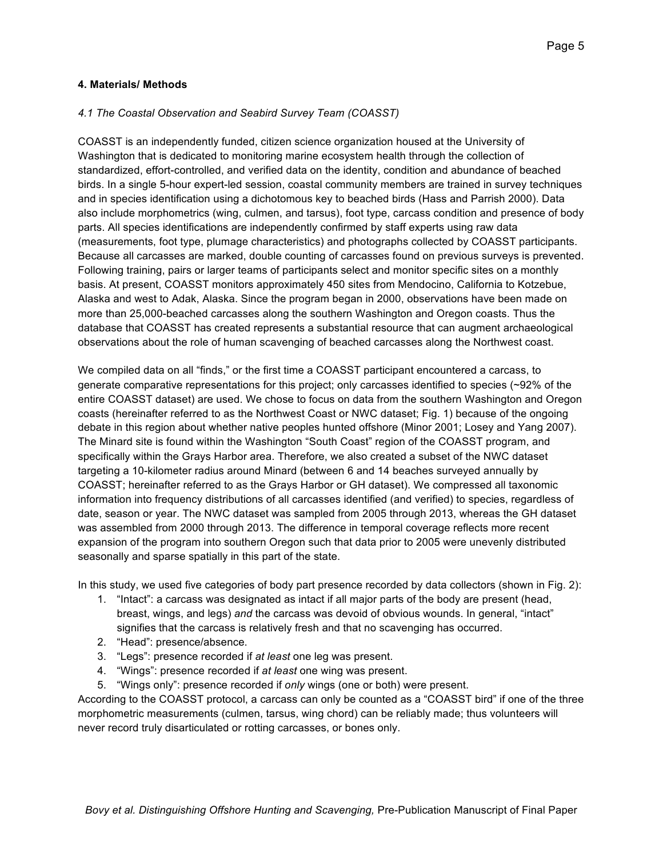#### **4. Materials/ Methods**

#### *4.1 The Coastal Observation and Seabird Survey Team (COASST)*

COASST is an independently funded, citizen science organization housed at the University of Washington that is dedicated to monitoring marine ecosystem health through the collection of standardized, effort-controlled, and verified data on the identity, condition and abundance of beached birds. In a single 5-hour expert-led session, coastal community members are trained in survey techniques and in species identification using a dichotomous key to beached birds (Hass and Parrish 2000). Data also include morphometrics (wing, culmen, and tarsus), foot type, carcass condition and presence of body parts. All species identifications are independently confirmed by staff experts using raw data (measurements, foot type, plumage characteristics) and photographs collected by COASST participants. Because all carcasses are marked, double counting of carcasses found on previous surveys is prevented. Following training, pairs or larger teams of participants select and monitor specific sites on a monthly basis. At present, COASST monitors approximately 450 sites from Mendocino, California to Kotzebue, Alaska and west to Adak, Alaska. Since the program began in 2000, observations have been made on more than 25,000-beached carcasses along the southern Washington and Oregon coasts. Thus the database that COASST has created represents a substantial resource that can augment archaeological observations about the role of human scavenging of beached carcasses along the Northwest coast.

We compiled data on all "finds," or the first time a COASST participant encountered a carcass, to generate comparative representations for this project; only carcasses identified to species (~92% of the entire COASST dataset) are used. We chose to focus on data from the southern Washington and Oregon coasts (hereinafter referred to as the Northwest Coast or NWC dataset; Fig. 1) because of the ongoing debate in this region about whether native peoples hunted offshore (Minor 2001; Losey and Yang 2007). The Minard site is found within the Washington "South Coast" region of the COASST program, and specifically within the Grays Harbor area. Therefore, we also created a subset of the NWC dataset targeting a 10-kilometer radius around Minard (between 6 and 14 beaches surveyed annually by COASST; hereinafter referred to as the Grays Harbor or GH dataset). We compressed all taxonomic information into frequency distributions of all carcasses identified (and verified) to species, regardless of date, season or year. The NWC dataset was sampled from 2005 through 2013, whereas the GH dataset was assembled from 2000 through 2013. The difference in temporal coverage reflects more recent expansion of the program into southern Oregon such that data prior to 2005 were unevenly distributed seasonally and sparse spatially in this part of the state.

In this study, we used five categories of body part presence recorded by data collectors (shown in Fig. 2):

- 1. "Intact": a carcass was designated as intact if all major parts of the body are present (head, breast, wings, and legs) *and* the carcass was devoid of obvious wounds. In general, "intact" signifies that the carcass is relatively fresh and that no scavenging has occurred.
- 2. "Head": presence/absence.
- 3. "Legs": presence recorded if *at least* one leg was present.
- 4. "Wings": presence recorded if *at least* one wing was present.
- 5. "Wings only": presence recorded if *only* wings (one or both) were present.

According to the COASST protocol, a carcass can only be counted as a "COASST bird" if one of the three morphometric measurements (culmen, tarsus, wing chord) can be reliably made; thus volunteers will never record truly disarticulated or rotting carcasses, or bones only.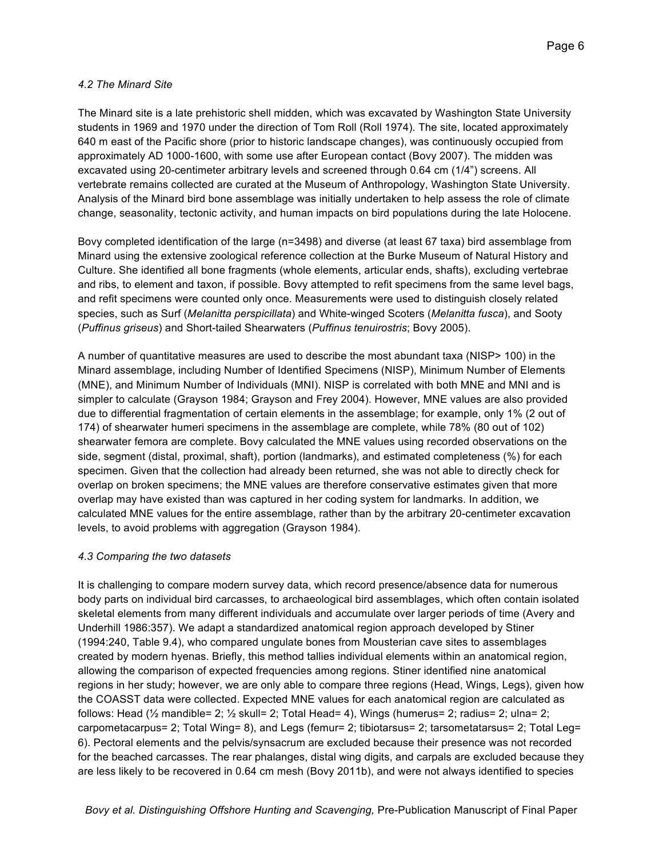#### *4.2 The Minard Site*

The Minard site is a late prehistoric shell midden, which was excavated by Washington State University students in 1969 and 1970 under the direction of Tom Roll (Roll 1974). The site, located approximately 640 m east of the Pacific shore (prior to historic landscape changes), was continuously occupied from approximately AD 1000-1600, with some use after European contact (Bovy 2007). The midden was excavated using 20-centimeter arbitrary levels and screened through 0.64 cm (1/4") screens. All vertebrate remains collected are curated at the Museum of Anthropology, Washington State University. Analysis of the Minard bird bone assemblage was initially undertaken to help assess the role of climate change, seasonality, tectonic activity, and human impacts on bird populations during the late Holocene.

Bovy completed identification of the large (n=3498) and diverse (at least 67 taxa) bird assemblage from Minard using the extensive zoological reference collection at the Burke Museum of Natural History and Culture. She identified all bone fragments (whole elements, articular ends, shafts), excluding vertebrae and ribs, to element and taxon, if possible. Bovy attempted to refit specimens from the same level bags, and refit specimens were counted only once. Measurements were used to distinguish closely related species, such as Surf (*Melanitta perspicillata*) and White-winged Scoters (*Melanitta fusca*), and Sooty (*Puffinus griseus*) and Short-tailed Shearwaters (*Puffinus tenuirostris*; Bovy 2005).

A number of quantitative measures are used to describe the most abundant taxa (NISP> 100) in the Minard assemblage, including Number of Identified Specimens (NISP), Minimum Number of Elements (MNE), and Minimum Number of Individuals (MNI). NISP is correlated with both MNE and MNI and is simpler to calculate (Grayson 1984; Grayson and Frey 2004). However, MNE values are also provided due to differential fragmentation of certain elements in the assemblage; for example, only 1% (2 out of 174) of shearwater humeri specimens in the assemblage are complete, while 78% (80 out of 102) shearwater femora are complete. Bovy calculated the MNE values using recorded observations on the side, segment (distal, proximal, shaft), portion (landmarks), and estimated completeness (%) for each specimen. Given that the collection had already been returned, she was not able to directly check for overlap on broken specimens; the MNE values are therefore conservative estimates given that more overlap may have existed than was captured in her coding system for landmarks. In addition, we calculated MNE values for the entire assemblage, rather than by the arbitrary 20-centimeter excavation levels, to avoid problems with aggregation (Grayson 1984).

#### *4.3 Comparing the two datasets*

It is challenging to compare modern survey data, which record presence/absence data for numerous body parts on individual bird carcasses, to archaeological bird assemblages, which often contain isolated skeletal elements from many different individuals and accumulate over larger periods of time (Avery and Underhill 1986:357). We adapt a standardized anatomical region approach developed by Stiner (1994:240, Table 9.4), who compared ungulate bones from Mousterian cave sites to assemblages created by modern hyenas. Briefly, this method tallies individual elements within an anatomical region, allowing the comparison of expected frequencies among regions. Stiner identified nine anatomical regions in her study; however, we are only able to compare three regions (Head, Wings, Legs), given how the COASST data were collected. Expected MNE values for each anatomical region are calculated as follows: Head  $\frac{1}{2}$  mandible= 2;  $\frac{1}{2}$  skull= 2; Total Head= 4), Wings (humerus= 2; radius= 2; ulna= 2; carpometacarpus= 2; Total Wing= 8), and Legs (femur= 2; tibiotarsus= 2; tarsometatarsus= 2; Total Leg= 6). Pectoral elements and the pelvis/synsacrum are excluded because their presence was not recorded for the beached carcasses. The rear phalanges, distal wing digits, and carpals are excluded because they are less likely to be recovered in 0.64 cm mesh (Bovy 2011b), and were not always identified to species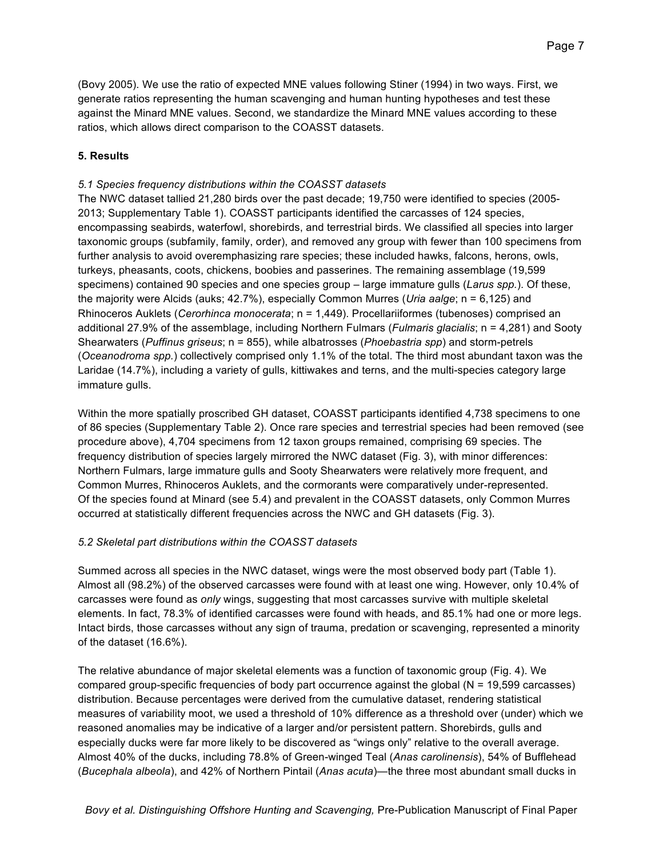(Bovy 2005). We use the ratio of expected MNE values following Stiner (1994) in two ways. First, we generate ratios representing the human scavenging and human hunting hypotheses and test these against the Minard MNE values. Second, we standardize the Minard MNE values according to these ratios, which allows direct comparison to the COASST datasets.

#### **5. Results**

#### *5.1 Species frequency distributions within the COASST datasets*

The NWC dataset tallied 21,280 birds over the past decade; 19,750 were identified to species (2005- 2013; Supplementary Table 1). COASST participants identified the carcasses of 124 species, encompassing seabirds, waterfowl, shorebirds, and terrestrial birds. We classified all species into larger taxonomic groups (subfamily, family, order), and removed any group with fewer than 100 specimens from further analysis to avoid overemphasizing rare species; these included hawks, falcons, herons, owls, turkeys, pheasants, coots, chickens, boobies and passerines. The remaining assemblage (19,599 specimens) contained 90 species and one species group – large immature gulls (*Larus spp.*). Of these, the majority were Alcids (auks; 42.7%), especially Common Murres (*Uria aalge*; n = 6,125) and Rhinoceros Auklets (*Cerorhinca monocerata*; n = 1,449). Procellariiformes (tubenoses) comprised an additional 27.9% of the assemblage, including Northern Fulmars (*Fulmaris glacialis*; n = 4,281) and Sooty Shearwaters (*Puffinus griseus*; n = 855), while albatrosses (*Phoebastria spp*) and storm-petrels (*Oceanodroma spp.*) collectively comprised only 1.1% of the total. The third most abundant taxon was the Laridae (14.7%), including a variety of gulls, kittiwakes and terns, and the multi-species category large immature gulls.

Within the more spatially proscribed GH dataset, COASST participants identified 4,738 specimens to one of 86 species (Supplementary Table 2). Once rare species and terrestrial species had been removed (see procedure above), 4,704 specimens from 12 taxon groups remained, comprising 69 species. The frequency distribution of species largely mirrored the NWC dataset (Fig. 3), with minor differences: Northern Fulmars, large immature gulls and Sooty Shearwaters were relatively more frequent, and Common Murres, Rhinoceros Auklets, and the cormorants were comparatively under-represented. Of the species found at Minard (see 5.4) and prevalent in the COASST datasets, only Common Murres occurred at statistically different frequencies across the NWC and GH datasets (Fig. 3).

#### *5.2 Skeletal part distributions within the COASST datasets*

Summed across all species in the NWC dataset, wings were the most observed body part (Table 1). Almost all (98.2%) of the observed carcasses were found with at least one wing. However, only 10.4% of carcasses were found as *only* wings, suggesting that most carcasses survive with multiple skeletal elements. In fact, 78.3% of identified carcasses were found with heads, and 85.1% had one or more legs. Intact birds, those carcasses without any sign of trauma, predation or scavenging, represented a minority of the dataset (16.6%).

The relative abundance of major skeletal elements was a function of taxonomic group (Fig. 4). We compared group-specific frequencies of body part occurrence against the global (N = 19,599 carcasses) distribution. Because percentages were derived from the cumulative dataset, rendering statistical measures of variability moot, we used a threshold of 10% difference as a threshold over (under) which we reasoned anomalies may be indicative of a larger and/or persistent pattern. Shorebirds, gulls and especially ducks were far more likely to be discovered as "wings only" relative to the overall average. Almost 40% of the ducks, including 78.8% of Green-winged Teal (*Anas carolinensis*), 54% of Bufflehead (*Bucephala albeola*), and 42% of Northern Pintail (*Anas acuta*)—the three most abundant small ducks in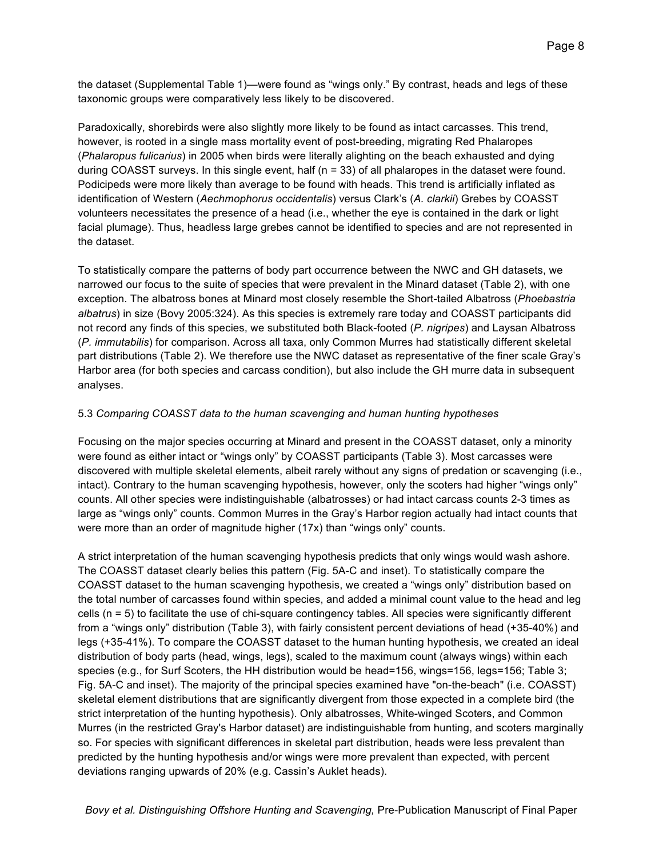the dataset (Supplemental Table 1)—were found as "wings only." By contrast, heads and legs of these taxonomic groups were comparatively less likely to be discovered.

Paradoxically, shorebirds were also slightly more likely to be found as intact carcasses. This trend, however, is rooted in a single mass mortality event of post-breeding, migrating Red Phalaropes (*Phalaropus fulicarius*) in 2005 when birds were literally alighting on the beach exhausted and dying during COASST surveys. In this single event, half  $(n = 33)$  of all phalaropes in the dataset were found. Podicipeds were more likely than average to be found with heads. This trend is artificially inflated as identification of Western (*Aechmophorus occidentalis*) versus Clark's (*A. clarkii*) Grebes by COASST volunteers necessitates the presence of a head (i.e., whether the eye is contained in the dark or light facial plumage). Thus, headless large grebes cannot be identified to species and are not represented in the dataset.

To statistically compare the patterns of body part occurrence between the NWC and GH datasets, we narrowed our focus to the suite of species that were prevalent in the Minard dataset (Table 2), with one exception. The albatross bones at Minard most closely resemble the Short-tailed Albatross (*Phoebastria albatrus*) in size (Bovy 2005:324). As this species is extremely rare today and COASST participants did not record any finds of this species, we substituted both Black-footed (*P. nigripes*) and Laysan Albatross (*P. immutabilis*) for comparison. Across all taxa, only Common Murres had statistically different skeletal part distributions (Table 2). We therefore use the NWC dataset as representative of the finer scale Gray's Harbor area (for both species and carcass condition), but also include the GH murre data in subsequent analyses.

#### 5.3 *Comparing COASST data to the human scavenging and human hunting hypotheses*

Focusing on the major species occurring at Minard and present in the COASST dataset, only a minority were found as either intact or "wings only" by COASST participants (Table 3). Most carcasses were discovered with multiple skeletal elements, albeit rarely without any signs of predation or scavenging (i.e., intact). Contrary to the human scavenging hypothesis, however, only the scoters had higher "wings only" counts. All other species were indistinguishable (albatrosses) or had intact carcass counts 2-3 times as large as "wings only" counts. Common Murres in the Gray's Harbor region actually had intact counts that were more than an order of magnitude higher (17x) than "wings only" counts.

A strict interpretation of the human scavenging hypothesis predicts that only wings would wash ashore. The COASST dataset clearly belies this pattern (Fig. 5A-C and inset). To statistically compare the COASST dataset to the human scavenging hypothesis, we created a "wings only" distribution based on the total number of carcasses found within species, and added a minimal count value to the head and leg cells (n = 5) to facilitate the use of chi-square contingency tables. All species were significantly different from a "wings only" distribution (Table 3), with fairly consistent percent deviations of head (+35-40%) and legs (+35-41%). To compare the COASST dataset to the human hunting hypothesis, we created an ideal distribution of body parts (head, wings, legs), scaled to the maximum count (always wings) within each species (e.g., for Surf Scoters, the HH distribution would be head=156, wings=156, legs=156; Table 3; Fig. 5A-C and inset). The majority of the principal species examined have "on-the-beach" (i.e. COASST) skeletal element distributions that are significantly divergent from those expected in a complete bird (the strict interpretation of the hunting hypothesis). Only albatrosses, White-winged Scoters, and Common Murres (in the restricted Gray's Harbor dataset) are indistinguishable from hunting, and scoters marginally so. For species with significant differences in skeletal part distribution, heads were less prevalent than predicted by the hunting hypothesis and/or wings were more prevalent than expected, with percent deviations ranging upwards of 20% (e.g. Cassin's Auklet heads).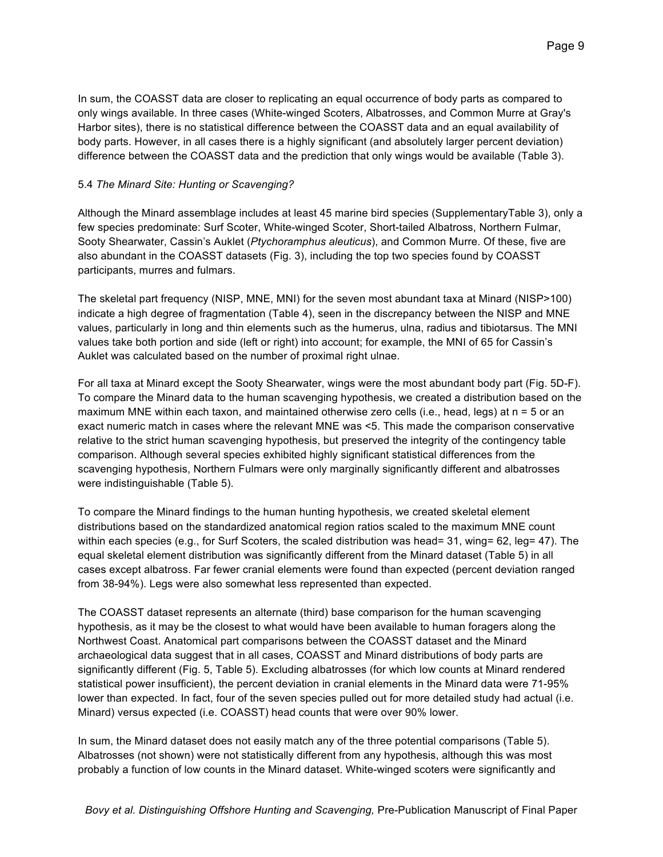In sum, the COASST data are closer to replicating an equal occurrence of body parts as compared to only wings available. In three cases (White-winged Scoters, Albatrosses, and Common Murre at Gray's Harbor sites), there is no statistical difference between the COASST data and an equal availability of body parts. However, in all cases there is a highly significant (and absolutely larger percent deviation) difference between the COASST data and the prediction that only wings would be available (Table 3).

#### 5.4 *The Minard Site: Hunting or Scavenging?*

Although the Minard assemblage includes at least 45 marine bird species (SupplementaryTable 3), only a few species predominate: Surf Scoter, White-winged Scoter, Short-tailed Albatross, Northern Fulmar, Sooty Shearwater, Cassin's Auklet (*Ptychoramphus aleuticus*), and Common Murre. Of these, five are also abundant in the COASST datasets (Fig. 3), including the top two species found by COASST participants, murres and fulmars.

The skeletal part frequency (NISP, MNE, MNI) for the seven most abundant taxa at Minard (NISP>100) indicate a high degree of fragmentation (Table 4), seen in the discrepancy between the NISP and MNE values, particularly in long and thin elements such as the humerus, ulna, radius and tibiotarsus. The MNI values take both portion and side (left or right) into account; for example, the MNI of 65 for Cassin's Auklet was calculated based on the number of proximal right ulnae.

For all taxa at Minard except the Sooty Shearwater, wings were the most abundant body part (Fig. 5D-F). To compare the Minard data to the human scavenging hypothesis, we created a distribution based on the maximum MNE within each taxon, and maintained otherwise zero cells (i.e., head, legs) at n = 5 or an exact numeric match in cases where the relevant MNE was <5. This made the comparison conservative relative to the strict human scavenging hypothesis, but preserved the integrity of the contingency table comparison. Although several species exhibited highly significant statistical differences from the scavenging hypothesis, Northern Fulmars were only marginally significantly different and albatrosses were indistinguishable (Table 5).

To compare the Minard findings to the human hunting hypothesis, we created skeletal element distributions based on the standardized anatomical region ratios scaled to the maximum MNE count within each species (e.g., for Surf Scoters, the scaled distribution was head= 31, wing= 62, leg= 47). The equal skeletal element distribution was significantly different from the Minard dataset (Table 5) in all cases except albatross. Far fewer cranial elements were found than expected (percent deviation ranged from 38-94%). Legs were also somewhat less represented than expected.

The COASST dataset represents an alternate (third) base comparison for the human scavenging hypothesis, as it may be the closest to what would have been available to human foragers along the Northwest Coast. Anatomical part comparisons between the COASST dataset and the Minard archaeological data suggest that in all cases, COASST and Minard distributions of body parts are significantly different (Fig. 5, Table 5). Excluding albatrosses (for which low counts at Minard rendered statistical power insufficient), the percent deviation in cranial elements in the Minard data were 71-95% lower than expected. In fact, four of the seven species pulled out for more detailed study had actual (i.e. Minard) versus expected (i.e. COASST) head counts that were over 90% lower.

In sum, the Minard dataset does not easily match any of the three potential comparisons (Table 5). Albatrosses (not shown) were not statistically different from any hypothesis, although this was most probably a function of low counts in the Minard dataset. White-winged scoters were significantly and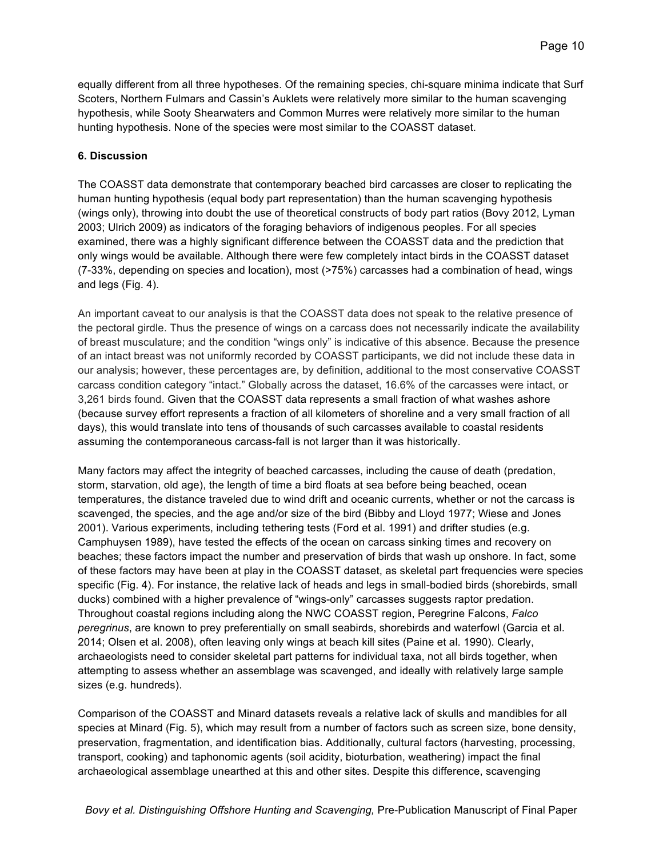equally different from all three hypotheses. Of the remaining species, chi-square minima indicate that Surf Scoters, Northern Fulmars and Cassin's Auklets were relatively more similar to the human scavenging hypothesis, while Sooty Shearwaters and Common Murres were relatively more similar to the human hunting hypothesis. None of the species were most similar to the COASST dataset.

#### **6. Discussion**

The COASST data demonstrate that contemporary beached bird carcasses are closer to replicating the human hunting hypothesis (equal body part representation) than the human scavenging hypothesis (wings only), throwing into doubt the use of theoretical constructs of body part ratios (Bovy 2012, Lyman 2003; Ulrich 2009) as indicators of the foraging behaviors of indigenous peoples. For all species examined, there was a highly significant difference between the COASST data and the prediction that only wings would be available. Although there were few completely intact birds in the COASST dataset (7-33%, depending on species and location), most (>75%) carcasses had a combination of head, wings and legs (Fig. 4).

An important caveat to our analysis is that the COASST data does not speak to the relative presence of the pectoral girdle. Thus the presence of wings on a carcass does not necessarily indicate the availability of breast musculature; and the condition "wings only" is indicative of this absence. Because the presence of an intact breast was not uniformly recorded by COASST participants, we did not include these data in our analysis; however, these percentages are, by definition, additional to the most conservative COASST carcass condition category "intact." Globally across the dataset, 16.6% of the carcasses were intact, or 3,261 birds found. Given that the COASST data represents a small fraction of what washes ashore (because survey effort represents a fraction of all kilometers of shoreline and a very small fraction of all days), this would translate into tens of thousands of such carcasses available to coastal residents assuming the contemporaneous carcass-fall is not larger than it was historically.

Many factors may affect the integrity of beached carcasses, including the cause of death (predation, storm, starvation, old age), the length of time a bird floats at sea before being beached, ocean temperatures, the distance traveled due to wind drift and oceanic currents, whether or not the carcass is scavenged, the species, and the age and/or size of the bird (Bibby and Lloyd 1977; Wiese and Jones 2001). Various experiments, including tethering tests (Ford et al. 1991) and drifter studies (e.g. Camphuysen 1989), have tested the effects of the ocean on carcass sinking times and recovery on beaches; these factors impact the number and preservation of birds that wash up onshore. In fact, some of these factors may have been at play in the COASST dataset, as skeletal part frequencies were species specific (Fig. 4). For instance, the relative lack of heads and legs in small-bodied birds (shorebirds, small ducks) combined with a higher prevalence of "wings-only" carcasses suggests raptor predation. Throughout coastal regions including along the NWC COASST region, Peregrine Falcons, *Falco peregrinus*, are known to prey preferentially on small seabirds, shorebirds and waterfowl (Garcia et al. 2014; Olsen et al. 2008), often leaving only wings at beach kill sites (Paine et al. 1990). Clearly, archaeologists need to consider skeletal part patterns for individual taxa, not all birds together, when attempting to assess whether an assemblage was scavenged, and ideally with relatively large sample sizes (e.g. hundreds).

Comparison of the COASST and Minard datasets reveals a relative lack of skulls and mandibles for all species at Minard (Fig. 5), which may result from a number of factors such as screen size, bone density, preservation, fragmentation, and identification bias. Additionally, cultural factors (harvesting, processing, transport, cooking) and taphonomic agents (soil acidity, bioturbation, weathering) impact the final archaeological assemblage unearthed at this and other sites. Despite this difference, scavenging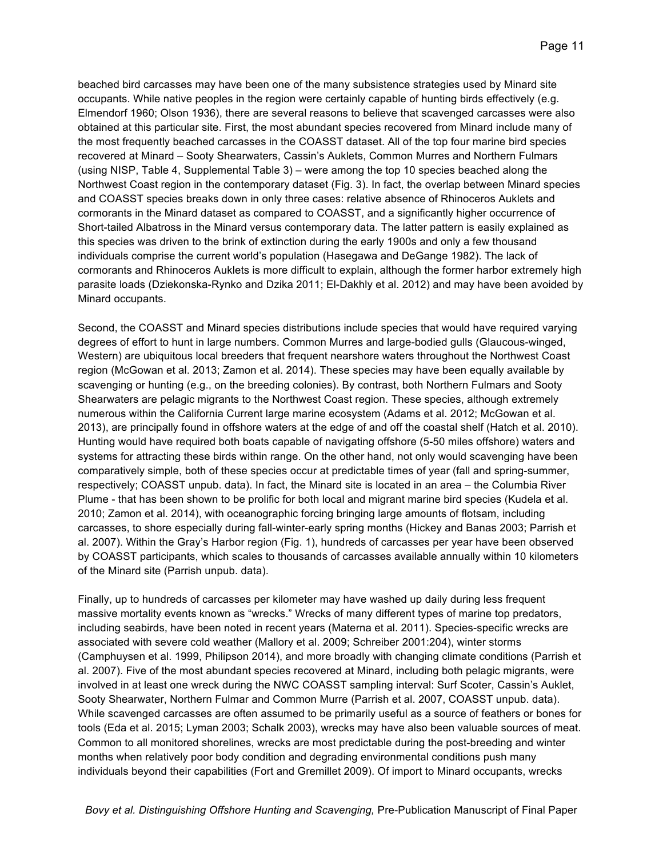beached bird carcasses may have been one of the many subsistence strategies used by Minard site occupants. While native peoples in the region were certainly capable of hunting birds effectively (e.g. Elmendorf 1960; Olson 1936), there are several reasons to believe that scavenged carcasses were also obtained at this particular site. First, the most abundant species recovered from Minard include many of the most frequently beached carcasses in the COASST dataset. All of the top four marine bird species recovered at Minard – Sooty Shearwaters, Cassin's Auklets, Common Murres and Northern Fulmars (using NISP, Table 4, Supplemental Table 3) – were among the top 10 species beached along the Northwest Coast region in the contemporary dataset (Fig. 3). In fact, the overlap between Minard species and COASST species breaks down in only three cases: relative absence of Rhinoceros Auklets and cormorants in the Minard dataset as compared to COASST, and a significantly higher occurrence of Short-tailed Albatross in the Minard versus contemporary data. The latter pattern is easily explained as this species was driven to the brink of extinction during the early 1900s and only a few thousand individuals comprise the current world's population (Hasegawa and DeGange 1982). The lack of cormorants and Rhinoceros Auklets is more difficult to explain, although the former harbor extremely high parasite loads (Dziekonska-Rynko and Dzika 2011; El-Dakhly et al. 2012) and may have been avoided by Minard occupants.

Second, the COASST and Minard species distributions include species that would have required varying degrees of effort to hunt in large numbers. Common Murres and large-bodied gulls (Glaucous-winged, Western) are ubiquitous local breeders that frequent nearshore waters throughout the Northwest Coast region (McGowan et al. 2013; Zamon et al. 2014). These species may have been equally available by scavenging or hunting (e.g., on the breeding colonies). By contrast, both Northern Fulmars and Sooty Shearwaters are pelagic migrants to the Northwest Coast region. These species, although extremely numerous within the California Current large marine ecosystem (Adams et al. 2012; McGowan et al. 2013), are principally found in offshore waters at the edge of and off the coastal shelf (Hatch et al. 2010). Hunting would have required both boats capable of navigating offshore (5-50 miles offshore) waters and systems for attracting these birds within range. On the other hand, not only would scavenging have been comparatively simple, both of these species occur at predictable times of year (fall and spring-summer, respectively; COASST unpub. data). In fact, the Minard site is located in an area – the Columbia River Plume - that has been shown to be prolific for both local and migrant marine bird species (Kudela et al. 2010; Zamon et al. 2014), with oceanographic forcing bringing large amounts of flotsam, including carcasses, to shore especially during fall-winter-early spring months (Hickey and Banas 2003; Parrish et al. 2007). Within the Gray's Harbor region (Fig. 1), hundreds of carcasses per year have been observed by COASST participants, which scales to thousands of carcasses available annually within 10 kilometers of the Minard site (Parrish unpub. data).

Finally, up to hundreds of carcasses per kilometer may have washed up daily during less frequent massive mortality events known as "wrecks." Wrecks of many different types of marine top predators, including seabirds, have been noted in recent years (Materna et al. 2011). Species-specific wrecks are associated with severe cold weather (Mallory et al. 2009; Schreiber 2001:204), winter storms (Camphuysen et al. 1999, Philipson 2014), and more broadly with changing climate conditions (Parrish et al. 2007). Five of the most abundant species recovered at Minard, including both pelagic migrants, were involved in at least one wreck during the NWC COASST sampling interval: Surf Scoter, Cassin's Auklet, Sooty Shearwater, Northern Fulmar and Common Murre (Parrish et al. 2007, COASST unpub. data). While scavenged carcasses are often assumed to be primarily useful as a source of feathers or bones for tools (Eda et al. 2015; Lyman 2003; Schalk 2003), wrecks may have also been valuable sources of meat. Common to all monitored shorelines, wrecks are most predictable during the post-breeding and winter months when relatively poor body condition and degrading environmental conditions push many individuals beyond their capabilities (Fort and Gremillet 2009). Of import to Minard occupants, wrecks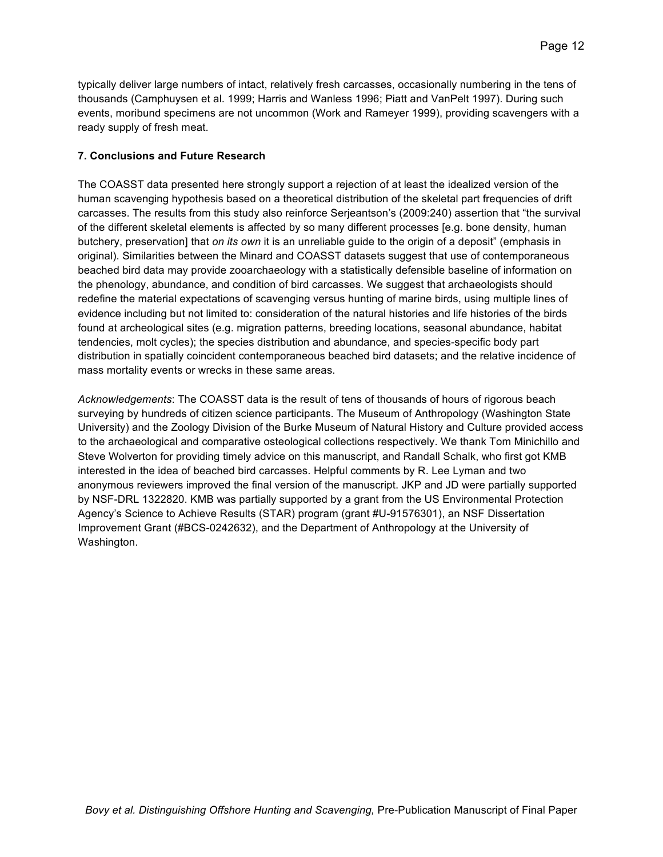typically deliver large numbers of intact, relatively fresh carcasses, occasionally numbering in the tens of thousands (Camphuysen et al. 1999; Harris and Wanless 1996; Piatt and VanPelt 1997). During such events, moribund specimens are not uncommon (Work and Rameyer 1999), providing scavengers with a ready supply of fresh meat.

#### **7. Conclusions and Future Research**

The COASST data presented here strongly support a rejection of at least the idealized version of the human scavenging hypothesis based on a theoretical distribution of the skeletal part frequencies of drift carcasses. The results from this study also reinforce Serjeantson's (2009:240) assertion that "the survival of the different skeletal elements is affected by so many different processes [e.g. bone density, human butchery, preservation] that *on its own* it is an unreliable guide to the origin of a deposit" (emphasis in original). Similarities between the Minard and COASST datasets suggest that use of contemporaneous beached bird data may provide zooarchaeology with a statistically defensible baseline of information on the phenology, abundance, and condition of bird carcasses. We suggest that archaeologists should redefine the material expectations of scavenging versus hunting of marine birds, using multiple lines of evidence including but not limited to: consideration of the natural histories and life histories of the birds found at archeological sites (e.g. migration patterns, breeding locations, seasonal abundance, habitat tendencies, molt cycles); the species distribution and abundance, and species-specific body part distribution in spatially coincident contemporaneous beached bird datasets; and the relative incidence of mass mortality events or wrecks in these same areas.

*Acknowledgements*: The COASST data is the result of tens of thousands of hours of rigorous beach surveying by hundreds of citizen science participants. The Museum of Anthropology (Washington State University) and the Zoology Division of the Burke Museum of Natural History and Culture provided access to the archaeological and comparative osteological collections respectively. We thank Tom Minichillo and Steve Wolverton for providing timely advice on this manuscript, and Randall Schalk, who first got KMB interested in the idea of beached bird carcasses. Helpful comments by R. Lee Lyman and two anonymous reviewers improved the final version of the manuscript. JKP and JD were partially supported by NSF-DRL 1322820. KMB was partially supported by a grant from the US Environmental Protection Agency's Science to Achieve Results (STAR) program (grant #U-91576301), an NSF Dissertation Improvement Grant (#BCS-0242632), and the Department of Anthropology at the University of Washington.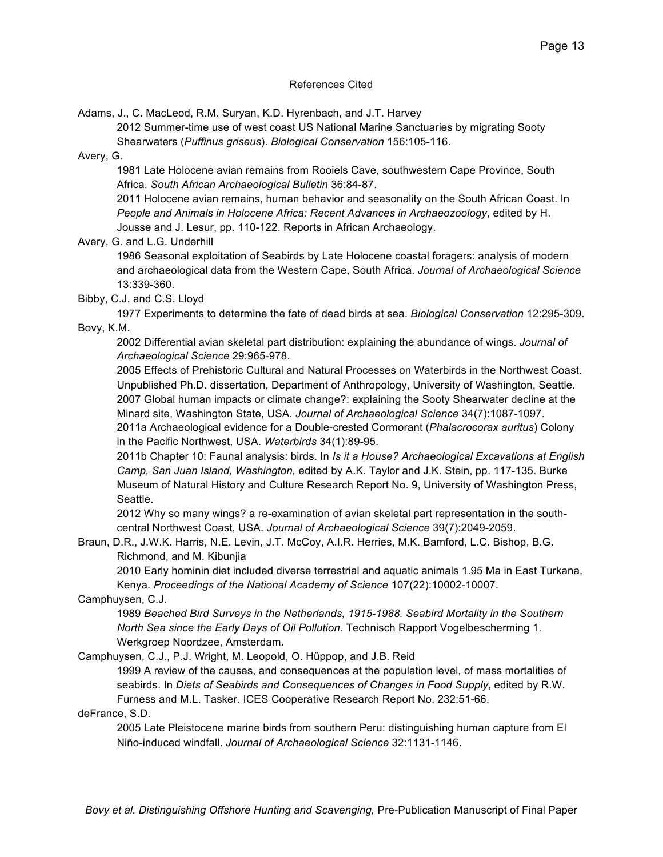#### References Cited

Adams, J., C. MacLeod, R.M. Suryan, K.D. Hyrenbach, and J.T. Harvey

2012 Summer-time use of west coast US National Marine Sanctuaries by migrating Sooty Shearwaters (*Puffinus griseus*). *Biological Conservation* 156:105-116.

Avery, G.

1981 Late Holocene avian remains from Rooiels Cave, southwestern Cape Province, South Africa. *South African Archaeological Bulletin* 36:84-87.

2011 Holocene avian remains, human behavior and seasonality on the South African Coast. In *People and Animals in Holocene Africa: Recent Advances in Archaeozoology*, edited by H. Jousse and J. Lesur, pp. 110-122. Reports in African Archaeology.

Avery, G. and L.G. Underhill

1986 Seasonal exploitation of Seabirds by Late Holocene coastal foragers: analysis of modern and archaeological data from the Western Cape, South Africa. *Journal of Archaeological Science* 13:339-360.

Bibby, C.J. and C.S. Lloyd

1977 Experiments to determine the fate of dead birds at sea. *Biological Conservation* 12:295-309. Bovy, K.M.

2002 Differential avian skeletal part distribution: explaining the abundance of wings. *Journal of Archaeological Science* 29:965-978.

2005 Effects of Prehistoric Cultural and Natural Processes on Waterbirds in the Northwest Coast. Unpublished Ph.D. dissertation, Department of Anthropology, University of Washington, Seattle. 2007 Global human impacts or climate change?: explaining the Sooty Shearwater decline at the Minard site, Washington State, USA. *Journal of Archaeological Science* 34(7):1087-1097. 2011a Archaeological evidence for a Double-crested Cormorant (*Phalacrocorax auritus*) Colony in the Pacific Northwest, USA. *Waterbirds* 34(1):89-95.

2011b Chapter 10: Faunal analysis: birds. In *Is it a House? Archaeological Excavations at English Camp, San Juan Island, Washington,* edited by A.K. Taylor and J.K. Stein, pp. 117-135. Burke Museum of Natural History and Culture Research Report No. 9, University of Washington Press, Seattle.

2012 Why so many wings? a re-examination of avian skeletal part representation in the southcentral Northwest Coast, USA. *Journal of Archaeological Science* 39(7):2049-2059.

Braun, D.R., J.W.K. Harris, N.E. Levin, J.T. McCoy, A.I.R. Herries, M.K. Bamford, L.C. Bishop, B.G. Richmond, and M. Kibunjia

2010 Early hominin diet included diverse terrestrial and aquatic animals 1.95 Ma in East Turkana, Kenya. *Proceedings of the National Academy of Science* 107(22):10002-10007.

Camphuysen, C.J.

1989 *Beached Bird Surveys in the Netherlands, 1915-1988. Seabird Mortality in the Southern North Sea since the Early Days of Oil Pollution*. Technisch Rapport Vogelbescherming 1. Werkgroep Noordzee, Amsterdam.

Camphuysen, C.J., P.J. Wright, M. Leopold, O. Hüppop, and J.B. Reid

1999 A review of the causes, and consequences at the population level, of mass mortalities of seabirds. In *Diets of Seabirds and Consequences of Changes in Food Supply*, edited by R.W. Furness and M.L. Tasker. ICES Cooperative Research Report No. 232:51-66.

deFrance, S.D.

2005 Late Pleistocene marine birds from southern Peru: distinguishing human capture from El Niño-induced windfall. *Journal of Archaeological Science* 32:1131-1146.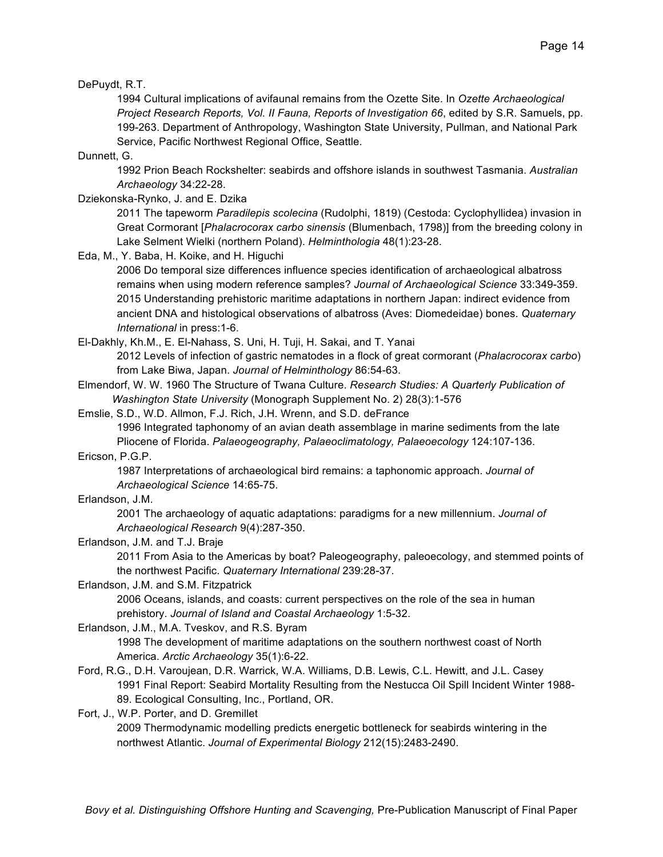DePuydt, R.T.

1994 Cultural implications of avifaunal remains from the Ozette Site. In *Ozette Archaeological Project Research Reports, Vol. II Fauna, Reports of Investigation 66*, edited by S.R. Samuels, pp. 199-263. Department of Anthropology, Washington State University, Pullman, and National Park Service, Pacific Northwest Regional Office, Seattle.

Dunnett, G.

1992 Prion Beach Rockshelter: seabirds and offshore islands in southwest Tasmania. *Australian Archaeology* 34:22-28.

Dziekonska-Rynko, J. and E. Dzika

2011 The tapeworm *Paradilepis scolecina* (Rudolphi, 1819) (Cestoda: Cyclophyllidea) invasion in Great Cormorant [*Phalacrocorax carbo sinensis* (Blumenbach, 1798)] from the breeding colony in Lake Selment Wielki (northern Poland). *Helminthologia* 48(1):23-28.

Eda, M., Y. Baba, H. Koike, and H. Higuchi

2006 Do temporal size differences influence species identification of archaeological albatross remains when using modern reference samples? *Journal of Archaeological Science* 33:349-359. 2015 Understanding prehistoric maritime adaptations in northern Japan: indirect evidence from ancient DNA and histological observations of albatross (Aves: Diomedeidae) bones. *Quaternary International* in press:1-6.

El-Dakhly, Kh.M., E. El-Nahass, S. Uni, H. Tuji, H. Sakai, and T. Yanai 2012 Levels of infection of gastric nematodes in a flock of great cormorant (*Phalacrocorax carbo*) from Lake Biwa, Japan. *Journal of Helminthology* 86:54-63.

Elmendorf, W. W. 1960 The Structure of Twana Culture. *Research Studies: A Quarterly Publication of Washington State University* (Monograph Supplement No. 2) 28(3):1-576

Emslie, S.D., W.D. Allmon, F.J. Rich, J.H. Wrenn, and S.D. deFrance 1996 Integrated taphonomy of an avian death assemblage in marine sediments from the late Pliocene of Florida. *Palaeogeography, Palaeoclimatology, Palaeoecology* 124:107-136.

Ericson, P.G.P.

1987 Interpretations of archaeological bird remains: a taphonomic approach. *Journal of Archaeological Science* 14:65-75.

Erlandson, J.M.

2001 The archaeology of aquatic adaptations: paradigms for a new millennium. *Journal of Archaeological Research* 9(4):287-350.

#### Erlandson, J.M. and T.J. Braje

2011 From Asia to the Americas by boat? Paleogeography, paleoecology, and stemmed points of the northwest Pacific. *Quaternary International* 239:28-37.

#### Erlandson, J.M. and S.M. Fitzpatrick

2006 Oceans, islands, and coasts: current perspectives on the role of the sea in human prehistory. *Journal of Island and Coastal Archaeology* 1:5-32.

Erlandson, J.M., M.A. Tveskov, and R.S. Byram

1998 The development of maritime adaptations on the southern northwest coast of North America. *Arctic Archaeology* 35(1):6-22.

Ford, R.G., D.H. Varoujean, D.R. Warrick, W.A. Williams, D.B. Lewis, C.L. Hewitt, and J.L. Casey 1991 Final Report: Seabird Mortality Resulting from the Nestucca Oil Spill Incident Winter 1988- 89. Ecological Consulting, Inc., Portland, OR.

Fort, J., W.P. Porter, and D. Gremillet

2009 Thermodynamic modelling predicts energetic bottleneck for seabirds wintering in the northwest Atlantic. *Journal of Experimental Biology* 212(15):2483-2490.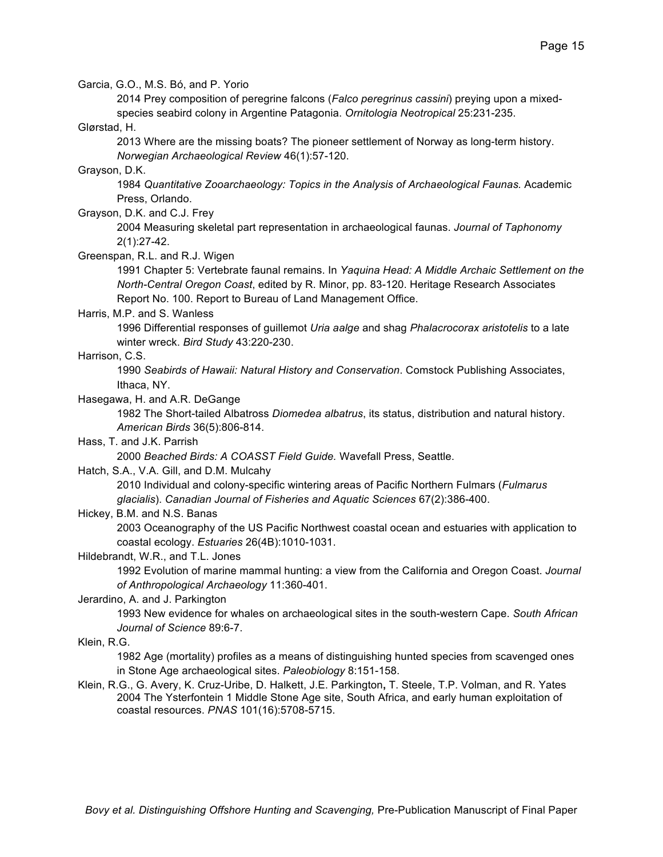Garcia, G.O., M.S. Bó, and P. Yorio

2014 Prey composition of peregrine falcons (*Falco peregrinus cassini*) preying upon a mixedspecies seabird colony in Argentine Patagonia. *Ornitologia Neotropical* 25:231-235.

Glørstad, H.

2013 Where are the missing boats? The pioneer settlement of Norway as long-term history. *Norwegian Archaeological Review* 46(1):57-120.

Grayson, D.K.

1984 *Quantitative Zooarchaeology: Topics in the Analysis of Archaeological Faunas.* Academic Press, Orlando.

Grayson, D.K. and C.J. Frey

2004 Measuring skeletal part representation in archaeological faunas. *Journal of Taphonomy* 2(1):27-42.

Greenspan, R.L. and R.J. Wigen

1991 Chapter 5: Vertebrate faunal remains. In *Yaquina Head: A Middle Archaic Settlement on the North-Central Oregon Coast*, edited by R. Minor, pp. 83-120. Heritage Research Associates Report No. 100. Report to Bureau of Land Management Office.

#### Harris, M.P. and S. Wanless

1996 Differential responses of guillemot *Uria aalge* and shag *Phalacrocorax aristotelis* to a late winter wreck. *Bird Study* 43:220-230.

#### Harrison, C.S.

1990 *Seabirds of Hawaii: Natural History and Conservation*. Comstock Publishing Associates, Ithaca, NY.

#### Hasegawa, H. and A.R. DeGange

1982 The Short-tailed Albatross *Diomedea albatrus*, its status, distribution and natural history. *American Birds* 36(5):806-814.

Hass, T. and J.K. Parrish

2000 *Beached Birds: A COASST Field Guide.* Wavefall Press, Seattle.

#### Hatch, S.A., V.A. Gill, and D.M. Mulcahy

2010 Individual and colony-specific wintering areas of Pacific Northern Fulmars (*Fulmarus glacialis*). *Canadian Journal of Fisheries and Aquatic Sciences* 67(2):386-400.

Hickey, B.M. and N.S. Banas

2003 Oceanography of the US Pacific Northwest coastal ocean and estuaries with application to coastal ecology. *Estuaries* 26(4B):1010-1031.

#### Hildebrandt, W.R., and T.L. Jones

1992 Evolution of marine mammal hunting: a view from the California and Oregon Coast. *Journal of Anthropological Archaeology* 11:360-401.

#### Jerardino, A. and J. Parkington

1993 New evidence for whales on archaeological sites in the south-western Cape. *South African Journal of Science* 89:6-7.

#### Klein, R.G.

1982 Age (mortality) profiles as a means of distinguishing hunted species from scavenged ones in Stone Age archaeological sites. *Paleobiology* 8:151-158.

Klein, R.G., G. Avery, K. Cruz-Uribe, D. Halkett, J.E. Parkington**,** T. Steele, T.P. Volman, and R. Yates 2004 The Ysterfontein 1 Middle Stone Age site, South Africa, and early human exploitation of coastal resources. *PNAS* 101(16):5708-5715.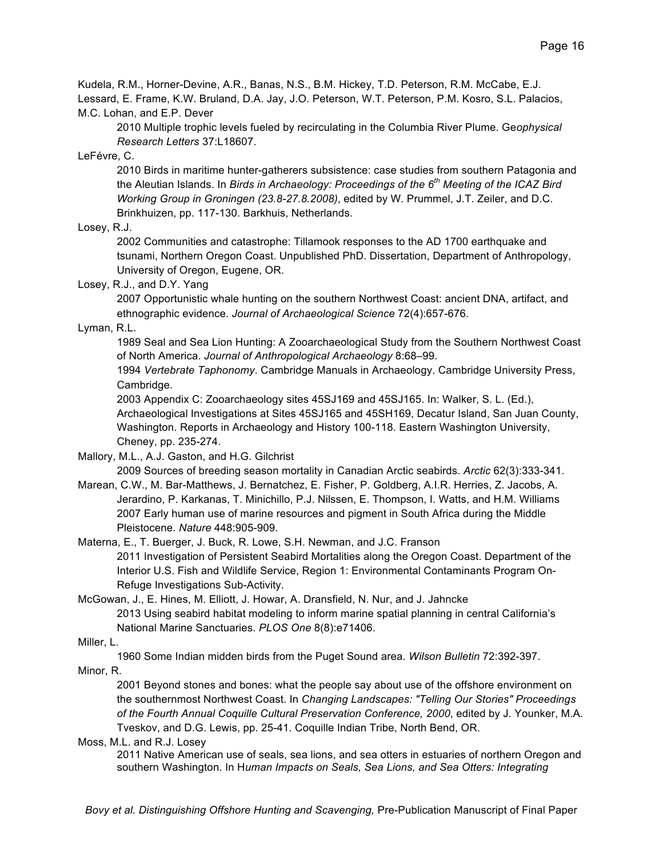Kudela, R.M., Horner-Devine, A.R., Banas, N.S., B.M. Hickey, T.D. Peterson, R.M. McCabe, E.J. Lessard, E. Frame, K.W. Bruland, D.A. Jay, J.O. Peterson, W.T. Peterson, P.M. Kosro, S.L. Palacios,

#### M.C. Lohan, and E.P. Dever

2010 Multiple trophic levels fueled by recirculating in the Columbia River Plume. Ge*ophysical Research Letters* 37:L18607.

LeFévre, C.

2010 Birds in maritime hunter-gatherers subsistence: case studies from southern Patagonia and the Aleutian Islands. In *Birds in Archaeology: Proceedings of the 6th Meeting of the ICAZ Bird Working Group in Groningen (23.8-27.8.2008)*, edited by W. Prummel, J.T. Zeiler, and D.C. Brinkhuizen, pp. 117-130. Barkhuis, Netherlands.

Losey, R.J.

2002 Communities and catastrophe: Tillamook responses to the AD 1700 earthquake and tsunami, Northern Oregon Coast. Unpublished PhD. Dissertation, Department of Anthropology, University of Oregon, Eugene, OR.

Losey, R.J., and D.Y. Yang

2007 Opportunistic whale hunting on the southern Northwest Coast: ancient DNA, artifact, and ethnographic evidence. *Journal of Archaeological Science* 72(4):657-676.

#### Lyman, R.L.

1989 Seal and Sea Lion Hunting: A Zooarchaeological Study from the Southern Northwest Coast of North America. *Journal of Anthropological Archaeology* 8:68–99.

1994 *Vertebrate Taphonomy*. Cambridge Manuals in Archaeology. Cambridge University Press, Cambridge.

2003 Appendix C: Zooarchaeology sites 45SJ169 and 45SJ165. In: Walker, S. L. (Ed.), Archaeological Investigations at Sites 45SJ165 and 45SH169, Decatur Island, San Juan County, Washington. Reports in Archaeology and History 100-118. Eastern Washington University, Cheney, pp. 235-274.

Mallory, M.L., A.J. Gaston, and H.G. Gilchrist

2009 Sources of breeding season mortality in Canadian Arctic seabirds. *Arctic* 62(3):333-341.

- Marean, C.W., M. Bar-Matthews, J. Bernatchez, E. Fisher, P. Goldberg, A.I.R. Herries, Z. Jacobs, A. Jerardino, P. Karkanas, T. Minichillo, P.J. Nilssen, E. Thompson, I. Watts, and H.M. Williams 2007 Early human use of marine resources and pigment in South Africa during the Middle Pleistocene. *Nature* 448:905-909.
- Materna, E., T. Buerger, J. Buck, R. Lowe, S.H. Newman, and J.C. Franson 2011 Investigation of Persistent Seabird Mortalities along the Oregon Coast. Department of the Interior U.S. Fish and Wildlife Service, Region 1: Environmental Contaminants Program On-Refuge Investigations Sub-Activity.
- McGowan, J., E. Hines, M. Elliott, J. Howar, A. Dransfield, N. Nur, and J. Jahncke 2013 Using seabird habitat modeling to inform marine spatial planning in central California's National Marine Sanctuaries. *PLOS One* 8(8):e71406.

#### Miller, L.

1960 Some Indian midden birds from the Puget Sound area. *Wilson Bulletin* 72:392-397.

Minor, R.

2001 Beyond stones and bones: what the people say about use of the offshore environment on the southernmost Northwest Coast. In *Changing Landscapes: "Telling Our Stories" Proceedings of the Fourth Annual Coquille Cultural Preservation Conference, 2000*, edited by J. Younker, M.A. Tveskov, and D.G. Lewis, pp. 25-41. Coquille Indian Tribe, North Bend, OR.

Moss, M.L. and R.J. Losey

2011 Native American use of seals, sea lions, and sea otters in estuaries of northern Oregon and southern Washington. In H*uman Impacts on Seals, Sea Lions, and Sea Otters: Integrating*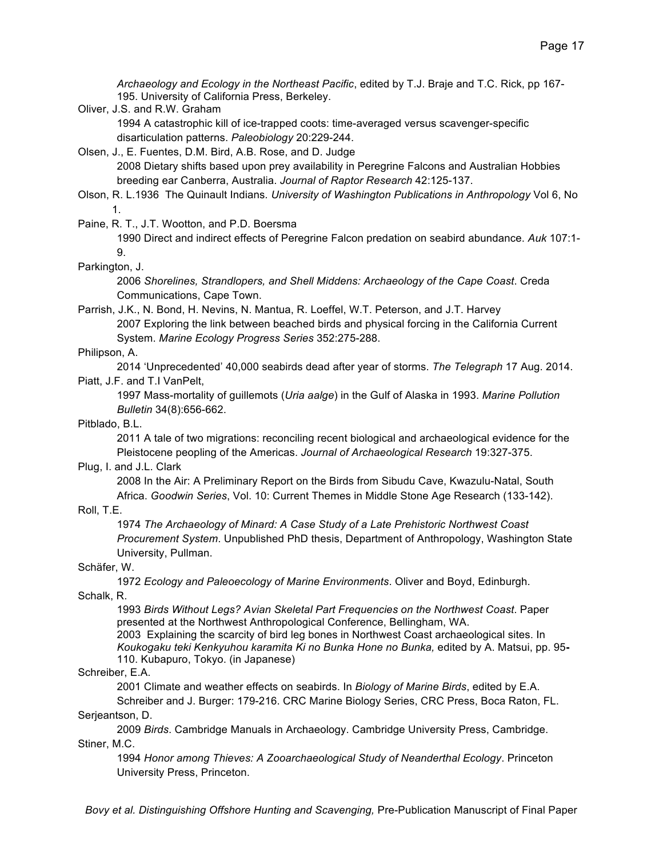*Archaeology and Ecology in the Northeast Pacific*, edited by T.J. Braje and T.C. Rick, pp 167- 195. University of California Press, Berkeley.

Oliver, J.S. and R.W. Graham

1994 A catastrophic kill of ice-trapped coots: time-averaged versus scavenger-specific disarticulation patterns. *Paleobiology* 20:229-244.

Olsen, J., E. Fuentes, D.M. Bird, A.B. Rose, and D. Judge 2008 Dietary shifts based upon prey availability in Peregrine Falcons and Australian Hobbies breeding ear Canberra, Australia. *Journal of Raptor Research* 42:125-137.

Olson, R. L.1936 The Quinault Indians*. University of Washington Publications in Anthropology* Vol 6, No 1.

Paine, R. T., J.T. Wootton, and P.D. Boersma

1990 Direct and indirect effects of Peregrine Falcon predation on seabird abundance. *Auk* 107:1- 9.

Parkington, J.

2006 *Shorelines, Strandlopers, and Shell Middens: Archaeology of the Cape Coast*. Creda Communications, Cape Town.

Parrish, J.K., N. Bond, H. Nevins, N. Mantua, R. Loeffel, W.T. Peterson, and J.T. Harvey 2007 Exploring the link between beached birds and physical forcing in the California Current System. *Marine Ecology Progress Series* 352:275-288.

#### Philipson, A.

2014 'Unprecedented' 40,000 seabirds dead after year of storms. *The Telegraph* 17 Aug. 2014. Piatt, J.F. and T.I VanPelt,

1997 Mass-mortality of guillemots (*Uria aalge*) in the Gulf of Alaska in 1993. *Marine Pollution Bulletin* 34(8):656-662.

Pitblado, B.L.

2011 A tale of two migrations: reconciling recent biological and archaeological evidence for the Pleistocene peopling of the Americas. *Journal of Archaeological Research* 19:327-375.

Plug, I. and J.L. Clark

2008 In the Air: A Preliminary Report on the Birds from Sibudu Cave, Kwazulu-Natal, South Africa. *Goodwin Series*, Vol. 10: Current Themes in Middle Stone Age Research (133-142).

Roll, T.E.

1974 *The Archaeology of Minard: A Case Study of a Late Prehistoric Northwest Coast Procurement System*. Unpublished PhD thesis, Department of Anthropology, Washington State University, Pullman.

Schäfer, W.

1972 *Ecology and Paleoecology of Marine Environments*. Oliver and Boyd, Edinburgh.

Schalk, R.

1993 *Birds Without Legs? Avian Skeletal Part Frequencies on the Northwest Coast*. Paper presented at the Northwest Anthropological Conference, Bellingham, WA.

2003 Explaining the scarcity of bird leg bones in Northwest Coast archaeological sites. In *Koukogaku teki Kenkyuhou karamita Ki no Bunka Hone no Bunka,* edited by A. Matsui, pp. 95**-** 110. Kubapuro, Tokyo. (in Japanese)

Schreiber, E.A.

2001 Climate and weather effects on seabirds. In *Biology of Marine Birds*, edited by E.A. Schreiber and J. Burger: 179-216. CRC Marine Biology Series, CRC Press, Boca Raton, FL.

Serjeantson, D.

2009 *Birds*. Cambridge Manuals in Archaeology. Cambridge University Press, Cambridge. Stiner, M.C.

1994 *Honor among Thieves: A Zooarchaeological Study of Neanderthal Ecology*. Princeton University Press, Princeton.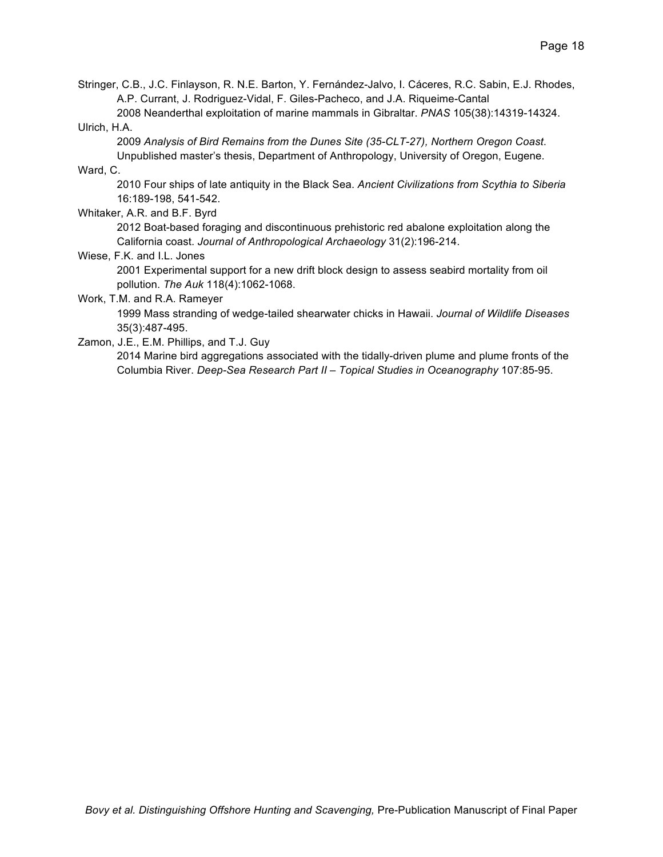Stringer, C.B., J.C. Finlayson, R. N.E. Barton, Y. Fernández-Jalvo, I. Cáceres, R.C. Sabin, E.J. Rhodes, A.P. Currant, J. Rodriguez-Vidal, F. Giles-Pacheco, and J.A. Riqueime-Cantal

2008 Neanderthal exploitation of marine mammals in Gibraltar. *PNAS* 105(38):14319-14324. Ulrich, H.A.

2009 *Analysis of Bird Remains from the Dunes Site (35-CLT-27), Northern Oregon Coast*. Unpublished master's thesis, Department of Anthropology, University of Oregon, Eugene.

Ward, C.

2010 Four ships of late antiquity in the Black Sea. *Ancient Civilizations from Scythia to Siberia* 16:189-198, 541-542.

#### Whitaker, A.R. and B.F. Byrd

2012 Boat-based foraging and discontinuous prehistoric red abalone exploitation along the California coast. *Journal of Anthropological Archaeology* 31(2):196-214.

#### Wiese, F.K. and I.L. Jones

2001 Experimental support for a new drift block design to assess seabird mortality from oil pollution. *The Auk* 118(4):1062-1068.

#### Work, T.M. and R.A. Rameyer

1999 Mass stranding of wedge-tailed shearwater chicks in Hawaii. *Journal of Wildlife Diseases* 35(3):487-495.

#### Zamon, J.E., E.M. Phillips, and T.J. Guy

2014 Marine bird aggregations associated with the tidally-driven plume and plume fronts of the Columbia River. *Deep-Sea Research Part II – Topical Studies in Oceanography* 107:85-95.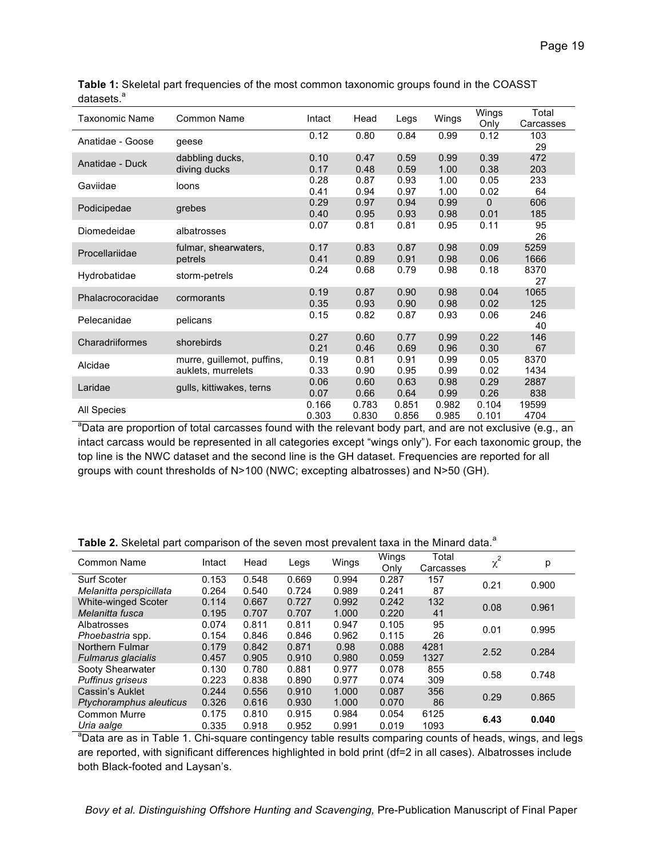| Taxonomic Name    | Common Name                | Intact | Head  | Legs  | Wings | Wings    | Total     |
|-------------------|----------------------------|--------|-------|-------|-------|----------|-----------|
|                   |                            |        |       |       |       | Only     | Carcasses |
| Anatidae - Goose  | geese                      | 0.12   | 0.80  | 0.84  | 0.99  | 0.12     | 103       |
|                   |                            |        |       |       |       |          | 29        |
| Anatidae - Duck   | dabbling ducks,            | 0.10   | 0.47  | 0.59  | 0.99  | 0.39     | 472       |
|                   | diving ducks               | 0.17   | 0.48  | 0.59  | 1.00  | 0.38     | 203       |
| Gaviidae          | loons                      | 0.28   | 0.87  | 0.93  | 1.00  | 0.05     | 233       |
|                   |                            | 0.41   | 0.94  | 0.97  | 1.00  | 0.02     | 64        |
| Podicipedae       | grebes                     | 0.29   | 0.97  | 0.94  | 0.99  | $\Omega$ | 606       |
|                   |                            | 0.40   | 0.95  | 0.93  | 0.98  | 0.01     | 185       |
| Diomedeidae       | albatrosses                | 0.07   | 0.81  | 0.81  | 0.95  | 0.11     | 95        |
|                   |                            |        |       |       |       |          | 26        |
| Procellariidae    | fulmar, shearwaters,       | 0.17   | 0.83  | 0.87  | 0.98  | 0.09     | 5259      |
|                   | petrels                    | 0.41   | 0.89  | 0.91  | 0.98  | 0.06     | 1666      |
| Hydrobatidae      | storm-petrels              | 0.24   | 0.68  | 0.79  | 0.98  | 0.18     | 8370      |
|                   |                            |        |       |       |       |          | 27        |
| Phalacrocoracidae | cormorants                 | 0.19   | 0.87  | 0.90  | 0.98  | 0.04     | 1065      |
|                   |                            | 0.35   | 0.93  | 0.90  | 0.98  | 0.02     | 125       |
| Pelecanidae       | pelicans                   | 0.15   | 0.82  | 0.87  | 0.93  | 0.06     | 246       |
|                   |                            |        |       |       |       |          | 40        |
| Charadriiformes   | shorebirds                 | 0.27   | 0.60  | 0.77  | 0.99  | 0.22     | 146       |
|                   |                            | 0.21   | 0.46  | 0.69  | 0.96  | 0.30     | 67        |
| Alcidae           | murre, guillemot, puffins, | 0.19   | 0.81  | 0.91  | 0.99  | 0.05     | 8370      |
|                   | auklets, murrelets         | 0.33   | 0.90  | 0.95  | 0.99  | 0.02     | 1434      |
| Laridae           |                            | 0.06   | 0.60  | 0.63  | 0.98  | 0.29     | 2887      |
|                   | gulls, kittiwakes, terns   | 0.07   | 0.66  | 0.64  | 0.99  | 0.26     | 838       |
|                   |                            | 0.166  | 0.783 | 0.851 | 0.982 | 0.104    | 19599     |
| All Species       |                            | 0.303  | 0.830 | 0.856 | 0.985 | 0.101    | 4704      |

| <b>Table 1:</b> Skeletal part frequencies of the most common taxonomic groups found in the COASST |  |
|---------------------------------------------------------------------------------------------------|--|
| datasets. <sup>a</sup>                                                                            |  |

mi opecies<br>about the proportion of total carcasses found with the relevant body part, and are not exclusive (e.g., an<br>about the relevant body part, and are not exclusive (e.g., an intact carcass would be represented in all categories except "wings only"). For each taxonomic group, the top line is the NWC dataset and the second line is the GH dataset. Frequencies are reported for all groups with count thresholds of N>100 (NWC; excepting albatrosses) and N>50 (GH).

| Common Name                                                                                                          | Intact | Head  | Legs  | Wings | Wings<br>Only | Total<br>Carcasses | $\chi^2$ | р     |
|----------------------------------------------------------------------------------------------------------------------|--------|-------|-------|-------|---------------|--------------------|----------|-------|
| Surf Scoter                                                                                                          | 0.153  | 0.548 | 0.669 | 0.994 | 0.287         | 157                |          |       |
| Melanitta perspicillata                                                                                              | 0.264  | 0.540 | 0.724 | 0.989 | 0.241         | 87                 | 0.21     | 0.900 |
| <b>White-winged Scoter</b>                                                                                           | 0.114  | 0.667 | 0.727 | 0.992 | 0.242         | 132                |          |       |
| Melanitta fusca                                                                                                      | 0.195  | 0.707 | 0.707 | 1.000 | 0.220         | 41                 | 0.08     | 0.961 |
| Albatrosses                                                                                                          | 0.074  | 0.811 | 0.811 | 0.947 | 0.105         | 95                 | 0.01     | 0.995 |
| Phoebastria spp.                                                                                                     | 0.154  | 0.846 | 0.846 | 0.962 | 0.115         | 26                 |          |       |
| Northern Fulmar                                                                                                      | 0.179  | 0.842 | 0.871 | 0.98  | 0.088         | 4281               | 2.52     | 0.284 |
| <b>Fulmarus glacialis</b>                                                                                            | 0.457  | 0.905 | 0.910 | 0.980 | 0.059         | 1327               |          |       |
| Sooty Shearwater                                                                                                     | 0.130  | 0.780 | 0.881 | 0.977 | 0.078         | 855                | 0.58     | 0.748 |
| <b>Puffinus griseus</b>                                                                                              | 0.223  | 0.838 | 0.890 | 0.977 | 0.074         | 309                |          |       |
| Cassin's Auklet                                                                                                      | 0.244  | 0.556 | 0.910 | 1.000 | 0.087         | 356                | 0.29     | 0.865 |
| Ptychoramphus aleuticus                                                                                              | 0.326  | 0.616 | 0.930 | 1.000 | 0.070         | 86                 |          |       |
| <b>Common Murre</b>                                                                                                  | 0.175  | 0.810 | 0.915 | 0.984 | 0.054         | 6125               | 6.43     | 0.040 |
| Uria aalge                                                                                                           | 0.335  | 0.918 | 0.952 | 0.991 | 0.019         | 1093               |          |       |
| <sup>a</sup> Data are as in Table 1. Chi-square contingency table results comparing counts of heads, wings, and legs |        |       |       |       |               |                    |          |       |

Table 2. Skeletal part comparison of the seven most prevalent taxa in the Minard data.<sup>a</sup>

are reported, with significant differences highlighted in bold print (df=2 in all cases). Albatrosses include both Black-footed and Laysan's.

*Bovy et al. Distinguishing Offshore Hunting and Scavenging,* Pre-Publication Manuscript of Final Paper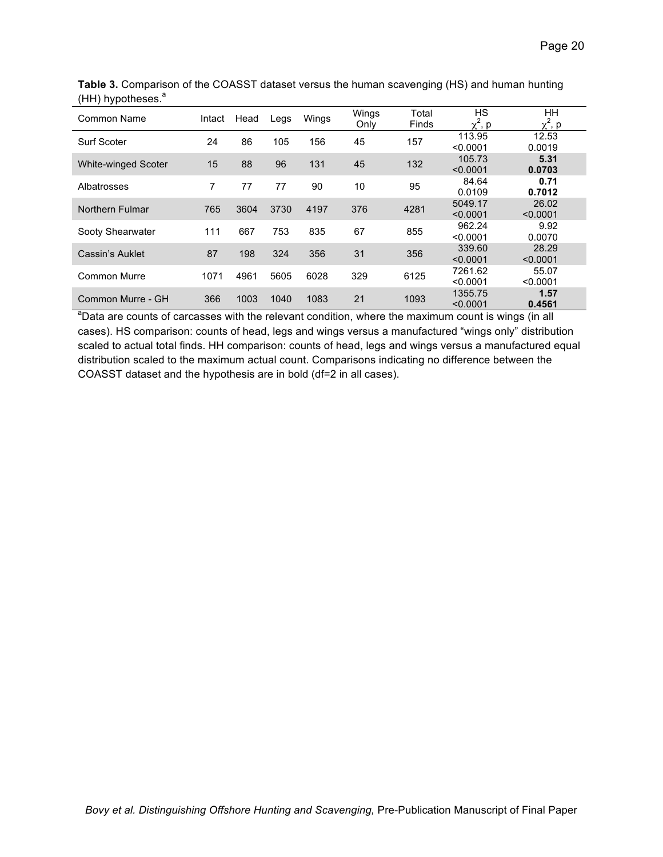| Common Name                | Intact | Head | Legs | Wings | Wings<br>Only | Total<br>Finds | <b>HS</b><br>$\chi^2$ , p | HН<br>$\chi^2$ , p |
|----------------------------|--------|------|------|-------|---------------|----------------|---------------------------|--------------------|
| Surf Scoter                | 24     | 86   | 105  | 156   | 45            | 157            | 113.95<br>< 0.0001        | 12.53<br>0.0019    |
| <b>White-winged Scoter</b> | 15     | 88   | 96   | 131   | 45            | 132            | 105.73<br>< 0.0001        | 5.31<br>0.0703     |
| Albatrosses                | 7      | 77   | 77   | 90    | 10            | 95             | 84.64<br>0.0109           | 0.71<br>0.7012     |
| Northern Fulmar            | 765    | 3604 | 3730 | 4197  | 376           | 4281           | 5049.17<br>< 0.0001       | 26.02<br>< 0.0001  |
| Sooty Shearwater           | 111    | 667  | 753  | 835   | 67            | 855            | 962.24<br>< 0.0001        | 9.92<br>0.0070     |
| Cassin's Auklet            | 87     | 198  | 324  | 356   | 31            | 356            | 339.60<br>< 0.0001        | 28.29<br>< 0.0001  |
| Common Murre               | 1071   | 4961 | 5605 | 6028  | 329           | 6125           | 7261.62<br>< 0.0001       | 55.07<br>< 0.0001  |
| Common Murre - GH          | 366    | 1003 | 1040 | 1083  | 21            | 1093           | 1355.75<br>< 0.0001       | 1.57<br>0.4561     |

**Table 3.** Comparison of the COASST dataset versus the human scavenging (HS) and human hunting  $(HH)$  hypotheses. $a$ 

**Produced are counts of carcasses with the relevant condition, where the maximum count is wings (in all <sup>a</sup>Data are counts of carcasses with the relevant condition, where the maximum count is wings (in all** cases). HS comparison: counts of head, legs and wings versus a manufactured "wings only" distribution scaled to actual total finds. HH comparison: counts of head, legs and wings versus a manufactured equal distribution scaled to the maximum actual count. Comparisons indicating no difference between the COASST dataset and the hypothesis are in bold (df=2 in all cases).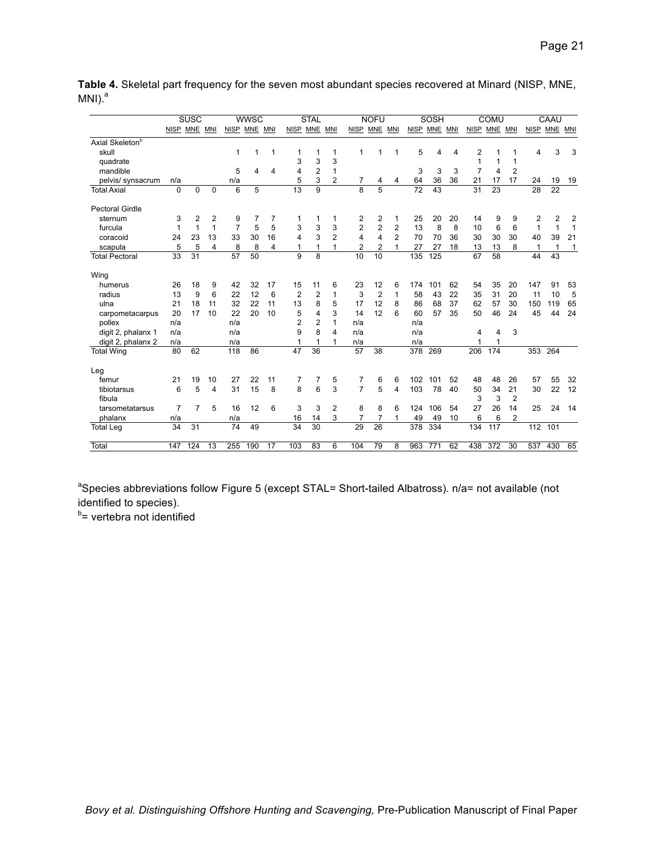|                             |     | <b>SUSC</b>    |          |                | <b>WWSC</b>  |    |                 | <b>STAL</b>    |                |                | <b>NOFU</b>    |                |                 | SOSH            |    |                 | COMU            |                |                 | CAAU            |              |
|-----------------------------|-----|----------------|----------|----------------|--------------|----|-----------------|----------------|----------------|----------------|----------------|----------------|-----------------|-----------------|----|-----------------|-----------------|----------------|-----------------|-----------------|--------------|
|                             |     | NISP MNE MNI   |          |                | NISP MNE MNI |    | NISP MNE        |                | <b>MNI</b>     | NISP MNE MNI   |                |                | NISP MNE MNI    |                 |    | NISP MNE MNI    |                 |                | <b>NISP</b>     | MNE MNI         |              |
| Axial Skeleton <sup>b</sup> |     |                |          |                |              |    |                 |                |                |                |                |                |                 |                 |    |                 |                 |                |                 |                 |              |
| skull                       |     |                |          | $\mathbf{1}$   | 1            | 1  | 1               | 1              | 1              | 1              | 1              | 1              | 5               | 4               | 4  | 2               |                 |                | 4               | 3               | 3            |
| quadrate                    |     |                |          |                |              |    | 3               | 3              | 3              |                |                |                |                 |                 |    | 1               | 1               | 1              |                 |                 |              |
| mandible                    |     |                |          | 5              | 4            | 4  | 4               | 2              | 1              |                |                |                | 3               | 3               | 3  | $\overline{7}$  | 4               | $\overline{2}$ |                 |                 |              |
| pelvis/ synsacrum           | n/a |                |          | n/a            |              |    | 5               | 3              | $\overline{2}$ | 7              | 4              | 4              | 64              | 36              | 36 | 21              | 17              | 17             | 24              | 19              | 19           |
| <b>Total Axial</b>          | 0   | $\Omega$       | $\Omega$ | 6              | 5            |    | $\overline{13}$ | $\overline{9}$ |                | 8              | 5              |                | $\overline{72}$ | $\overline{43}$ |    | $\overline{31}$ | $\overline{23}$ |                | $\overline{28}$ | $\overline{22}$ |              |
| <b>Pectoral Girdle</b>      |     |                |          |                |              |    |                 |                |                |                |                |                |                 |                 |    |                 |                 |                |                 |                 |              |
| sternum                     | 3   | 2              | 2        | 9              |              | 7  | 1               | 1              | 1              | 2              | 2              | 1              | 25              | 20              | 20 | 14              | 9               | 9              | $\overline{2}$  | 2               | 2            |
| furcula                     | 1   | 1              | 1        | $\overline{7}$ | 5            | 5  | 3               | 3              | 3              | 2              | $\overline{2}$ | $\overline{2}$ | 13              | 8               | 8  | 10              | 6               | 6              | 1               | 1               | $\mathbf{1}$ |
| coracoid                    | 24  | 23             | 13       | 33             | 30           | 16 | 4               | 3              | $\overline{2}$ | 4              | 4              | $\overline{2}$ | 70              | 70              | 36 | 30              | 30              | 30             | 40              | 39              | 21           |
| scapula                     | 5   | 5              | 4        | 8              | 8            | 4  | 1               | 1              | 1              | 2              | 2              | 1              | 27              | 27              | 18 | 13              | 13              | 8              | 1               | 1               | 1            |
| <b>Total Pectoral</b>       | 33  | 31             |          | 57             | 50           |    | 9               | 8              |                | 10             | 10             |                | 135             | 125             |    | 67              | 58              |                | 44              | 43              |              |
| Wing                        |     |                |          |                |              |    |                 |                |                |                |                |                |                 |                 |    |                 |                 |                |                 |                 |              |
| humerus                     | 26  | 18             | 9        | 42             | 32           | 17 | 15              | 11             | 6              | 23             | 12             | 6              | 174             | 101             | 62 | 54              | 35              | 20             | 147             | 91              | 53           |
| radius                      | 13  | 9              | 6        | 22             | 12           | 6  | $\overline{2}$  | $\overline{2}$ | $\mathbf{1}$   | 3              | $\overline{2}$ | 1              | 58              | 43              | 22 | 35              | 31              | 20             | 11              | 10              | 5            |
| ulna                        | 21  | 18             | 11       | 32             | 22           | 11 | 13              | 8              | 5              | 17             | 12             | 8              | 86              | 68              | 37 | 62              | 57              | 30             | 150             | 119             | 65           |
| carpometacarpus             | 20  | 17             | 10       | 22             | 20           | 10 | 5               | 4              | 3              | 14             | 12             | 6              | 60              | 57              | 35 | 50              | 46              | 24             | 45              | 44              | 24           |
| pollex                      | n/a |                |          | n/a            |              |    | 2               | $\overline{2}$ | $\mathbf{1}$   | n/a            |                |                | n/a             |                 |    |                 |                 |                |                 |                 |              |
| digit 2, phalanx 1          | n/a |                |          | n/a            |              |    | 9               | 8              | 4              | n/a            |                |                | n/a             |                 |    | 4               | 4               | 3              |                 |                 |              |
| digit 2, phalanx 2          | n/a |                |          | n/a            |              |    | 1               | 1              | 1              | n/a            |                |                | n/a             |                 |    | 1               | 1               |                |                 |                 |              |
| <b>Total Wing</b>           | 80  | 62             |          | 118            | 86           |    | 47              | 36             |                | 57             | 38             |                | 378             | 269             |    | 206             | 174             |                | 353             | 264             |              |
| Leg                         |     |                |          |                |              |    |                 |                |                |                |                |                |                 |                 |    |                 |                 |                |                 |                 |              |
| femur                       | 21  | 19             | 10       | 27             | 22           | 11 | 7               | 7              | 5              | 7              | 6              | 6              | 102             | 101             | 52 | 48              | 48              | 26             | 57              | 55              | 32           |
| tibiotarsus                 | 6   | 5              | 4        | 31             | 15           | 8  | 8               | 6              | 3              | $\overline{7}$ | 5              | 4              | 103             | 78              | 40 | 50              | 34              | 21             | 30              | 22              | 12           |
| fibula                      |     |                |          |                |              |    |                 |                |                |                |                |                |                 |                 |    | 3               | 3               | $\overline{2}$ |                 |                 |              |
| tarsometatarsus             | 7   | $\overline{7}$ | 5        | 16             | 12           | 6  | 3               | 3              | 2              | 8              | 8              | 6              | 124             | 106             | 54 | 27              | 26              | 14             | 25              | 24              | 14           |
| phalanx                     | n/a |                |          | n/a            |              |    | 16              | 14             | 3              | 7              | $\overline{7}$ | 1              | 49              | 49              | 10 | 6               | 6               | $\overline{2}$ |                 |                 |              |
| <b>Total Leg</b>            | 34  | 31             |          | 74             | 49           |    | 34              | 30             |                | 29             | 26             |                | 378             | 334             |    | 134             | 117             |                | 112             | 101             |              |
| Total                       | 147 | 124            | 13       | 255            | 190          | 17 | 103             | 83             | 6              | 104            | 79             | 8              | 963             | 771             | 62 | 438             | 372             | 30             | 537             | 430             | 65           |

**Table 4.** Skeletal part frequency for the seven most abundant species recovered at Minard (NISP, MNE,  $MNI)^a$ 

<sup>a</sup>Species abbreviations follow Figure 5 (except STAL= Short-tailed Albatross). n/a= not available (not identified to species).

<sup>b</sup>= vertebra not identified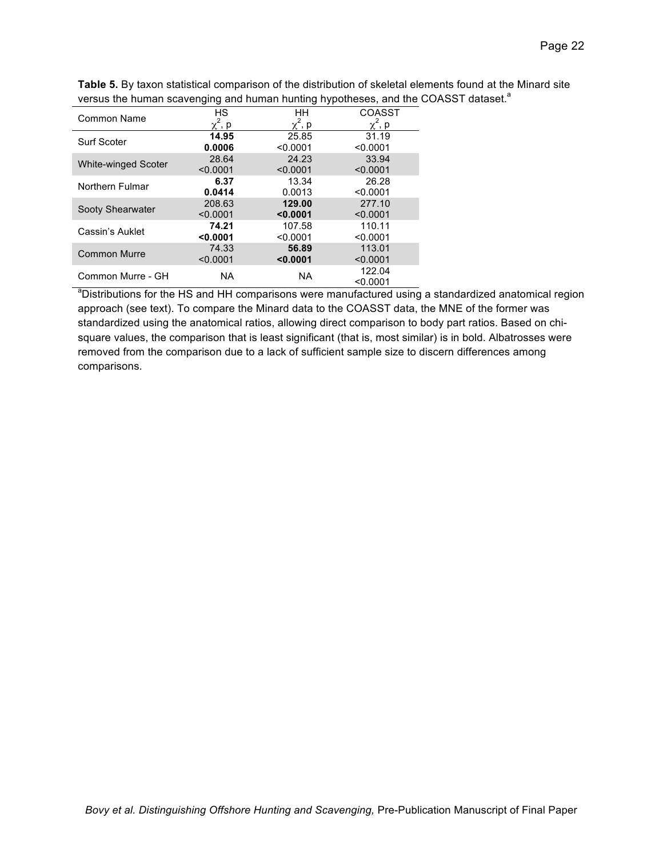| <b>Common Name</b>         | <b>HS</b> | HH       | <b>COASST</b> |
|----------------------------|-----------|----------|---------------|
|                            | χ", p     | χ-, p    | χ-, p         |
| Surf Scoter                | 14.95     | 25.85    | 31.19         |
|                            | 0.0006    | < 0.0001 | < 0.0001      |
| <b>White-winged Scoter</b> | 28.64     | 24.23    | 33.94         |
|                            | < 0.0001  | < 0.0001 | < 0.0001      |
| Northern Fulmar            | 6.37      | 13.34    | 26.28         |
|                            | 0.0414    | 0.0013   | < 0.0001      |
|                            | 208.63    | 129.00   | 277.10        |
| Sooty Shearwater           | < 0.0001  | < 0.0001 | < 0.0001      |
| Cassin's Auklet            | 74.21     | 107.58   | 110.11        |
|                            | < 0.0001  | < 0.0001 | < 0.0001      |
| Common Murre               | 74.33     | 56.89    | 113.01        |
|                            | < 0.0001  | < 0.0001 | < 0.0001      |
| Common Murre - GH          | <b>NA</b> | NA       | 122.04        |
|                            |           |          | < 0.0001      |

**Table 5.** By taxon statistical comparison of the distribution of skeletal elements found at the Minard site versus the human scavenging and human hunting hypotheses, and the COASST dataset.<sup>a</sup>

EXALMON MARK COLLEGATION MARK COLLEGATION MARK COLLEGATION MARK COLLEGATION CONTROLLEGATION CONTROLLEGATION CO<br>A Distributions for the HS and HH comparisons were manufactured using a standardized anatomical region approach (see text). To compare the Minard data to the COASST data, the MNE of the former was standardized using the anatomical ratios, allowing direct comparison to body part ratios. Based on chisquare values, the comparison that is least significant (that is, most similar) is in bold. Albatrosses were removed from the comparison due to a lack of sufficient sample size to discern differences among comparisons.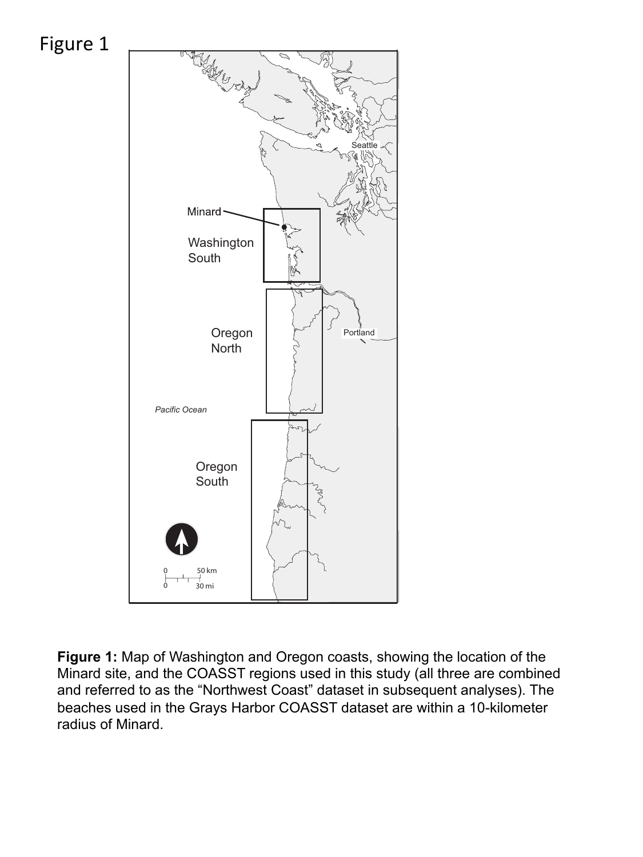

**Figure 1:** Map of Washington and Oregon coasts, showing the location of the Minard site, and the COASST regions used in this study (all three are combined and referred to as the "Northwest Coast" dataset in subsequent analyses). The beaches used in the Grays Harbor COASST dataset are within a 10-kilometer radius of Minard.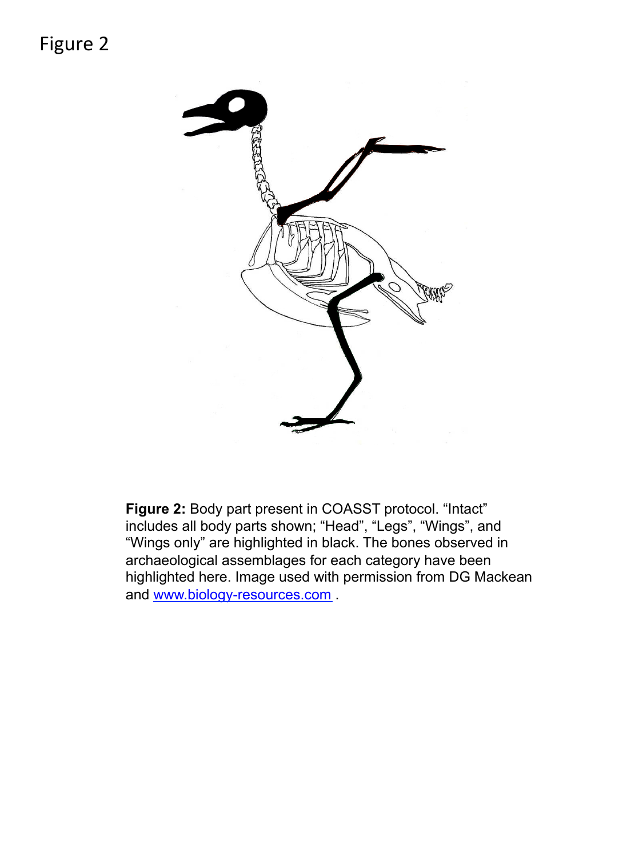

**Figure 2:** Body part present in COASST protocol. "Intact" includes all body parts shown; "Head", "Legs", "Wings", and "Wings only" are highlighted in black. The bones observed in archaeological assemblages for each category have been highlighted here. Image used with permission from DG Mackean and www.biology-resources.com .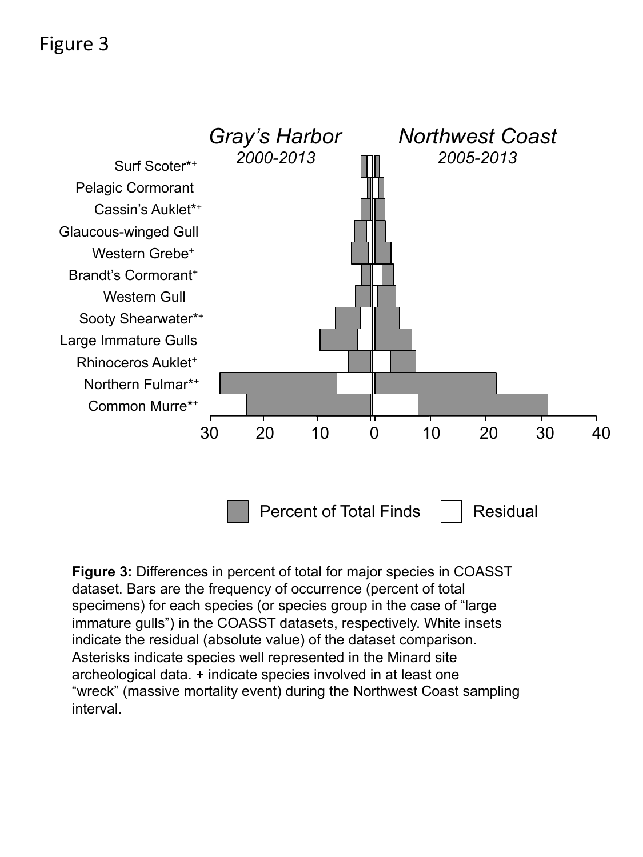

**Figure 3:** Differences in percent of total for major species in COASST dataset. Bars are the frequency of occurrence (percent of total specimens) for each species (or species group in the case of "large immature gulls") in the COASST datasets, respectively. White insets indicate the residual (absolute value) of the dataset comparison. Asterisks indicate species well represented in the Minard site archeological data. + indicate species involved in at least one "wreck" (massive mortality event) during the Northwest Coast sampling interval.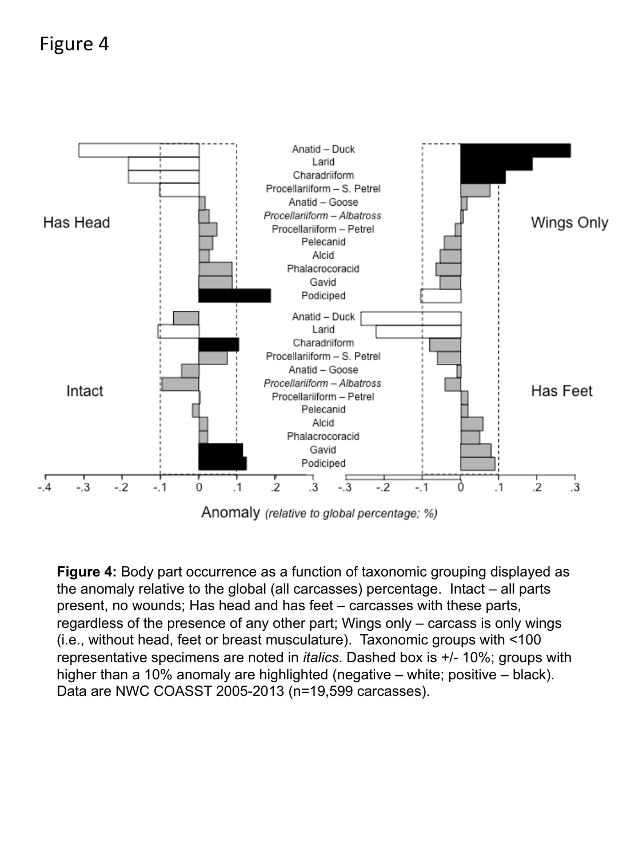

Anomaly (relative to global percentage; %)

**Figure 4:** Body part occurrence as a function of taxonomic grouping displayed as the anomaly relative to the global (all carcasses) percentage. Intact – all parts present, no wounds; Has head and has feet – carcasses with these parts, regardless of the presence of any other part; Wings only – carcass is only wings (i.e., without head, feet or breast musculature). Taxonomic groups with <100 representative specimens are noted in *italics*. Dashed box is +/- 10%; groups with higher than a 10% anomaly are highlighted (negative – white; positive – black). Data are NWC COASST 2005-2013 (n=19,599 carcasses).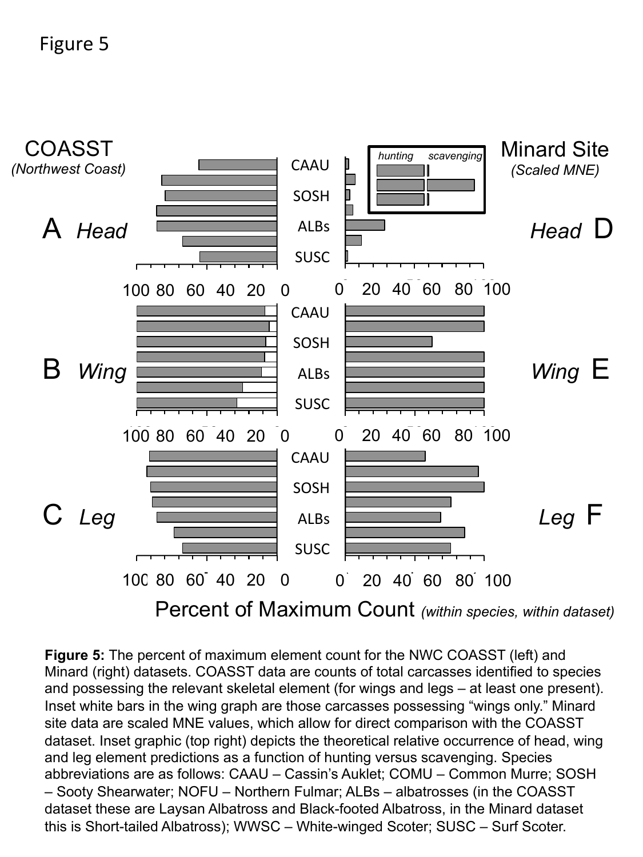

**Figure 5:** The percent of maximum element count for the NWC COASST (left) and Minard (right) datasets. COASST data are counts of total carcasses identified to species and possessing the relevant skeletal element (for wings and legs – at least one present). Inset white bars in the wing graph are those carcasses possessing "wings only." Minard site data are scaled MNE values, which allow for direct comparison with the COASST dataset. Inset graphic (top right) depicts the theoretical relative occurrence of head, wing and leg element predictions as a function of hunting versus scavenging. Species abbreviations are as follows: CAAU – Cassin's Auklet; COMU – Common Murre; SOSH – Sooty Shearwater; NOFU – Northern Fulmar; ALBs – albatrosses (in the COASST dataset these are Laysan Albatross and Black-footed Albatross, in the Minard dataset this is Short-tailed Albatross); WWSC – White-winged Scoter; SUSC – Surf Scoter.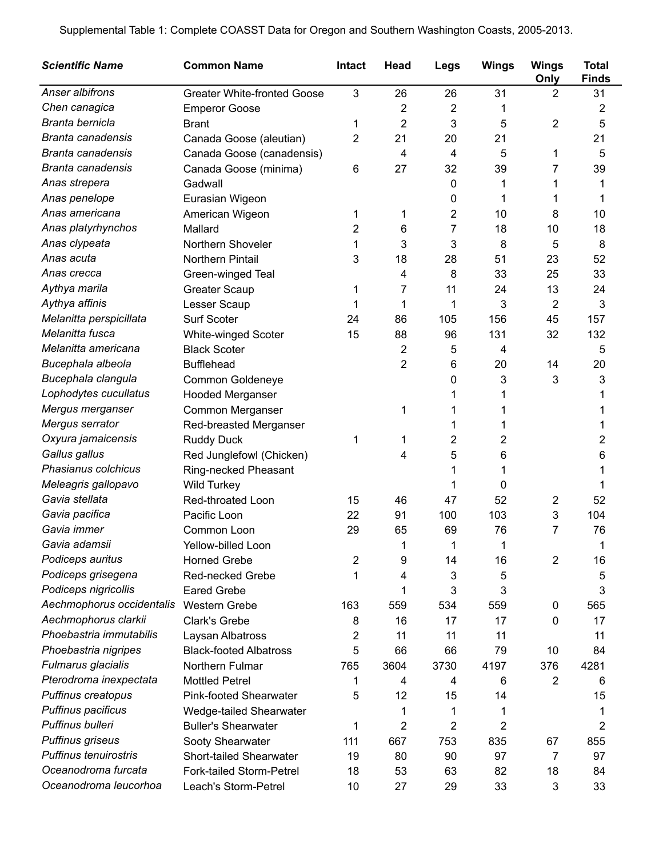| <b>Scientific Name</b>       | <b>Common Name</b>                 | <b>Intact</b>  | Head           | Legs           | <b>Wings</b> | <b>Wings</b><br>Only | <b>Total</b><br><b>Finds</b> |
|------------------------------|------------------------------------|----------------|----------------|----------------|--------------|----------------------|------------------------------|
| Anser albifrons              | <b>Greater White-fronted Goose</b> | 3              | 26             | 26             | 31           | 2                    | 31                           |
| Chen canagica                | <b>Emperor Goose</b>               |                | $\overline{2}$ | $\overline{2}$ | 1            |                      | 2                            |
| Branta bernicla              | <b>Brant</b>                       | 1              | 2              | 3              | 5            | $\overline{2}$       | 5                            |
| Branta canadensis            | Canada Goose (aleutian)            | 2              | 21             | 20             | 21           |                      | 21                           |
| Branta canadensis            | Canada Goose (canadensis)          |                | 4              | 4              | 5            | 1                    | 5                            |
| Branta canadensis            | Canada Goose (minima)              | 6              | 27             | 32             | 39           | 7                    | 39                           |
| Anas strepera                | Gadwall                            |                |                | 0              | 1            | 1                    | 1                            |
| Anas penelope                | Eurasian Wigeon                    |                |                | 0              | 1            | 1                    | 1                            |
| Anas americana               | American Wigeon                    | 1              | 1              | $\overline{2}$ | 10           | 8                    | 10                           |
| Anas platyrhynchos           | Mallard                            | 2              | 6              | 7              | 18           | 10                   | 18                           |
| Anas clypeata                | Northern Shoveler                  | 1              | 3              | 3              | 8            | 5                    | 8                            |
| Anas acuta                   | Northern Pintail                   | 3              | 18             | 28             | 51           | 23                   | 52                           |
| Anas crecca                  | Green-winged Teal                  |                | 4              | 8              | 33           | 25                   | 33                           |
| Aythya marila                | <b>Greater Scaup</b>               | 1              | 7              | 11             | 24           | 13                   | 24                           |
| Aythya affinis               | Lesser Scaup                       |                | 1              | 1              | 3            | $\overline{2}$       | 3                            |
| Melanitta perspicillata      | Surf Scoter                        | 24             | 86             | 105            | 156          | 45                   | 157                          |
| Melanitta fusca              | White-winged Scoter                | 15             | 88             | 96             | 131          | 32                   | 132                          |
| Melanitta americana          | <b>Black Scoter</b>                |                | $\overline{2}$ | 5              | 4            |                      | 5                            |
| Bucephala albeola            | <b>Bufflehead</b>                  |                | $\overline{2}$ | 6              | 20           | 14                   | 20                           |
| Bucephala clangula           | Common Goldeneye                   |                |                | 0              | 3            | 3                    | 3                            |
| Lophodytes cucullatus        | <b>Hooded Merganser</b>            |                |                | 1              |              |                      |                              |
| Mergus merganser             | Common Merganser                   |                | 1              | 1              | 1            |                      |                              |
| Mergus serrator              | Red-breasted Merganser             |                |                | 1              | 1            |                      |                              |
| Oxyura jamaicensis           | <b>Ruddy Duck</b>                  | 1              | 1              | 2              | 2            |                      | 2                            |
| Gallus gallus                | Red Junglefowl (Chicken)           |                | 4              | 5              | 6            |                      | 6                            |
| Phasianus colchicus          | Ring-necked Pheasant               |                |                | 1              | 1            |                      |                              |
| Meleagris gallopavo          | <b>Wild Turkey</b>                 |                |                | 1              | 0            |                      |                              |
| Gavia stellata               | Red-throated Loon                  | 15             | 46             | 47             | 52           | 2                    | 52                           |
| Gavia pacifica               | Pacific Loon                       | 22             | 91             | 100            | 103          | 3                    | 104                          |
| Gavia immer                  | Common Loon                        | 29             | 65             | 69             | 76           | 7                    | 76                           |
| Gavia adamsii                | Yellow-billed Loon                 |                |                | 1              | 1            |                      |                              |
| Podiceps auritus             | <b>Horned Grebe</b>                | 2              | 9              | 14             | 16           | $\boldsymbol{2}$     | 16                           |
| Podiceps grisegena           | Red-necked Grebe                   | 1              | 4              | 3              | 5            |                      | 5                            |
| Podiceps nigricollis         | <b>Eared Grebe</b>                 |                | 1              | 3              | 3            |                      | 3                            |
| Aechmophorus occidentalis    | <b>Western Grebe</b>               | 163            | 559            | 534            | 559          | 0                    | 565                          |
| Aechmophorus clarkii         | Clark's Grebe                      | 8              | 16             | 17             | 17           | 0                    | 17                           |
| Phoebastria immutabilis      | Laysan Albatross                   | $\overline{c}$ | 11             | 11             | 11           |                      | 11                           |
| Phoebastria nigripes         | <b>Black-footed Albatross</b>      | 5              | 66             | 66             | 79           | 10                   | 84                           |
| Fulmarus glacialis           | Northern Fulmar                    | 765            | 3604           | 3730           | 4197         | 376                  | 4281                         |
| Pterodroma inexpectata       | <b>Mottled Petrel</b>              | 1              | 4              | 4              | 6            | $\overline{2}$       | 6                            |
| Puffinus creatopus           | <b>Pink-footed Shearwater</b>      | 5              | 12             | 15             | 14           |                      | 15                           |
| Puffinus pacificus           | Wedge-tailed Shearwater            |                | 1              | 1              | 1            |                      | 1                            |
| Puffinus bulleri             | <b>Buller's Shearwater</b>         | 1              | 2              | $\overline{2}$ | 2            |                      | $\overline{2}$               |
| Puffinus griseus             | Sooty Shearwater                   | 111            | 667            | 753            | 835          | 67                   | 855                          |
| <b>Puffinus tenuirostris</b> | Short-tailed Shearwater            | 19             | 80             | 90             | 97           | 7                    | 97                           |
| Oceanodroma furcata          | Fork-tailed Storm-Petrel           | 18             | 53             | 63             | 82           | 18                   | 84                           |
| Oceanodroma leucorhoa        | Leach's Storm-Petrel               | 10             | 27             | 29             | 33           | 3                    | 33                           |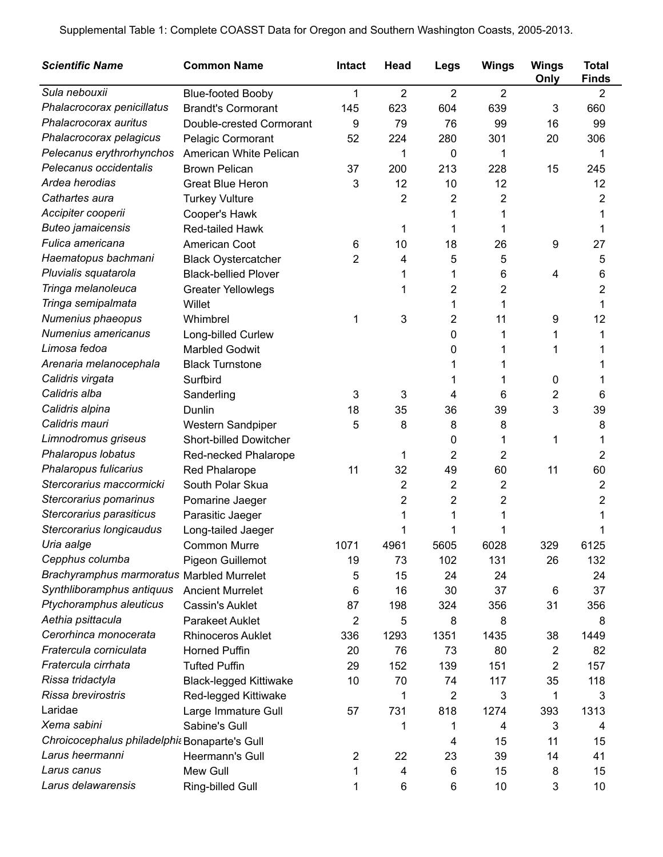| <b>Scientific Name</b>                        | <b>Common Name</b>            | Intact | Head           | Legs           | <b>Wings</b>   | <b>Wings</b><br>Only | <b>Total</b><br><b>Finds</b> |
|-----------------------------------------------|-------------------------------|--------|----------------|----------------|----------------|----------------------|------------------------------|
| Sula nebouxii                                 | <b>Blue-footed Booby</b>      | 1      | $\overline{2}$ | $\overline{2}$ | $\overline{2}$ |                      | $\overline{2}$               |
| Phalacrocorax penicillatus                    | <b>Brandt's Cormorant</b>     | 145    | 623            | 604            | 639            | 3                    | 660                          |
| Phalacrocorax auritus                         | Double-crested Cormorant      | 9      | 79             | 76             | 99             | 16                   | 99                           |
| Phalacrocorax pelagicus                       | Pelagic Cormorant             | 52     | 224            | 280            | 301            | 20                   | 306                          |
| Pelecanus erythrorhynchos                     | American White Pelican        |        | 1              | 0              | 1              |                      | 1                            |
| Pelecanus occidentalis                        | <b>Brown Pelican</b>          | 37     | 200            | 213            | 228            | 15                   | 245                          |
| Ardea herodias                                | <b>Great Blue Heron</b>       | 3      | 12             | 10             | 12             |                      | 12                           |
| Cathartes aura                                | <b>Turkey Vulture</b>         |        | $\overline{2}$ | 2              | 2              |                      | 2                            |
| Accipiter cooperii                            | Cooper's Hawk                 |        |                | 1              | 1              |                      | 1                            |
| <b>Buteo jamaicensis</b>                      | Red-tailed Hawk               |        | 1              | 1              | 1              |                      | 1                            |
| Fulica americana                              | American Coot                 | 6      | 10             | 18             | 26             | 9                    | 27                           |
| Haematopus bachmani                           | <b>Black Oystercatcher</b>    | 2      | 4              | 5              | 5              |                      | 5                            |
| Pluvialis squatarola                          | <b>Black-bellied Plover</b>   |        | 1              | 1              | 6              | 4                    | 6                            |
| Tringa melanoleuca                            | <b>Greater Yellowlegs</b>     |        | 1              | $\overline{2}$ | 2              |                      | 2                            |
| Tringa semipalmata                            | Willet                        |        |                | 1              | 1              |                      | 1                            |
| Numenius phaeopus                             | Whimbrel                      | 1      | 3              | $\overline{2}$ | 11             | 9                    | 12                           |
| Numenius americanus                           | Long-billed Curlew            |        |                | 0              | 1              | 1                    | 1                            |
| Limosa fedoa                                  | <b>Marbled Godwit</b>         |        |                | 0              | 1              | 1                    | 1                            |
| Arenaria melanocephala                        | <b>Black Turnstone</b>        |        |                | 1              | 1              |                      |                              |
| Calidris virgata                              | Surfbird                      |        |                | 1              | 1              | 0                    | 1                            |
| Calidris alba                                 | Sanderling                    | 3      | 3              | 4              | 6              | 2                    | 6                            |
| Calidris alpina                               | Dunlin                        | 18     | 35             | 36             | 39             | 3                    | 39                           |
| Calidris mauri                                | Western Sandpiper             | 5      | 8              | 8              | 8              |                      | 8                            |
| Limnodromus griseus                           | Short-billed Dowitcher        |        |                | 0              | 1              | 1                    | 1                            |
| Phalaropus lobatus                            | Red-necked Phalarope          |        | 1              | $\overline{2}$ | $\overline{2}$ |                      | 2                            |
| Phalaropus fulicarius                         | <b>Red Phalarope</b>          | 11     | 32             | 49             | 60             | 11                   | 60                           |
| Stercorarius maccormicki                      | South Polar Skua              |        | 2              | $\overline{2}$ | 2              |                      | $\overline{2}$               |
| Stercorarius pomarinus                        | Pomarine Jaeger               |        | 2              | $\overline{2}$ | 2              |                      | 2                            |
| Stercorarius parasiticus                      | Parasitic Jaeger              |        |                | 1              | 1              |                      | 1                            |
| Stercorarius longicaudus                      | Long-tailed Jaeger            |        | 1              | 1              | 1              |                      | 1                            |
| Uria aalge                                    | <b>Common Murre</b>           | 1071   | 4961           | 5605           | 6028           | 329                  | 6125                         |
| Cepphus columba                               | Pigeon Guillemot              | 19     | 73             | 102            | 131            | 26                   | 132                          |
| Brachyramphus marmoratus Marbled Murrelet     |                               | 5      | 15             | 24             | 24             |                      | 24                           |
| Synthliboramphus antiquus                     | <b>Ancient Murrelet</b>       | 6      | 16             | 30             | 37             | 6                    | 37                           |
| Ptychoramphus aleuticus                       | <b>Cassin's Auklet</b>        | 87     | 198            | 324            | 356            | 31                   | 356                          |
| Aethia psittacula                             | <b>Parakeet Auklet</b>        | 2      | 5              | 8              | 8              |                      | 8                            |
| Cerorhinca monocerata                         | <b>Rhinoceros Auklet</b>      | 336    | 1293           | 1351           | 1435           | 38                   | 1449                         |
| Fratercula corniculata                        | Horned Puffin                 | 20     | 76             | 73             | 80             | 2                    | 82                           |
| Fratercula cirrhata                           | <b>Tufted Puffin</b>          | 29     | 152            | 139            | 151            | $\overline{2}$       | 157                          |
| Rissa tridactyla                              | <b>Black-legged Kittiwake</b> | 10     | 70             | 74             | 117            | 35                   | 118                          |
| Rissa brevirostris                            | Red-legged Kittiwake          |        | 1              | 2              | 3              | 1                    | 3                            |
| Laridae                                       | Large Immature Gull           | 57     | 731            | 818            | 1274           | 393                  | 1313                         |
| Xema sabini                                   | Sabine's Gull                 |        | 1              | 1              | 4              | 3                    | 4                            |
| Chroicocephalus philadelphic Bonaparte's Gull |                               |        |                | 4              | 15             | 11                   | 15                           |
| Larus heermanni                               | Heermann's Gull               | 2      | 22             | 23             | 39             | 14                   | 41                           |
| Larus canus                                   | Mew Gull                      |        | 4              | 6              | 15             | 8                    | 15                           |
| Larus delawarensis                            | Ring-billed Gull              | 1      | 6              | 6              | 10             | 3                    | 10                           |

Supplemental Table 1: Complete COASST Data for Oregon and Southern Washington Coasts, 2005-2013.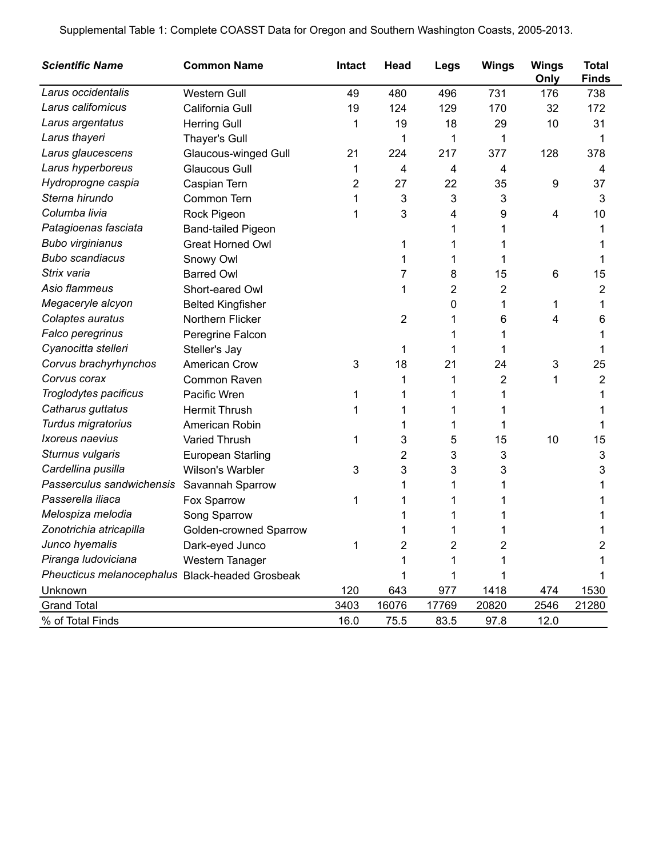| <b>Scientific Name</b>                          | <b>Common Name</b>        | Intact | Head           | Legs  | <b>Wings</b>   | <b>Wings</b><br>Only | <b>Total</b><br><b>Finds</b> |
|-------------------------------------------------|---------------------------|--------|----------------|-------|----------------|----------------------|------------------------------|
| Larus occidentalis                              | <b>Western Gull</b>       | 49     | 480            | 496   | 731            | 176                  | 738                          |
| Larus californicus                              | California Gull           | 19     | 124            | 129   | 170            | 32                   | 172                          |
| Larus argentatus                                | <b>Herring Gull</b>       | 1      | 19             | 18    | 29             | 10                   | 31                           |
| Larus thayeri                                   | Thayer's Gull             |        | 1              | 1     | 1              |                      | 1                            |
| Larus glaucescens                               | Glaucous-winged Gull      | 21     | 224            | 217   | 377            | 128                  | 378                          |
| Larus hyperboreus                               | <b>Glaucous Gull</b>      | 1      | 4              | 4     | 4              |                      | 4                            |
| Hydroprogne caspia                              | Caspian Tern              | 2      | 27             | 22    | 35             | 9                    | 37                           |
| Sterna hirundo                                  | Common Tern               |        | 3              | 3     | 3              |                      | 3                            |
| Columba livia                                   | Rock Pigeon               |        | 3              | 4     | 9              | 4                    | 10                           |
| Patagioenas fasciata                            | <b>Band-tailed Pigeon</b> |        |                |       | 1              |                      | 1                            |
| <b>Bubo virginianus</b>                         | <b>Great Horned Owl</b>   |        | 1              |       |                |                      |                              |
| <b>Bubo scandiacus</b>                          | Snowy Owl                 |        |                | 1     | 1              |                      | 1                            |
| Strix varia                                     | <b>Barred Owl</b>         |        | 7              | 8     | 15             | 6                    | 15                           |
| Asio flammeus                                   | Short-eared Owl           |        |                | 2     | $\overline{2}$ |                      | 2                            |
| Megaceryle alcyon                               | <b>Belted Kingfisher</b>  |        |                | 0     | 1              | 1                    | 1                            |
| Colaptes auratus                                | Northern Flicker          |        | $\overline{2}$ | 1     | 6              | 4                    | 6                            |
| Falco peregrinus                                | Peregrine Falcon          |        |                |       |                |                      |                              |
| Cyanocitta stelleri                             | Steller's Jay             |        | 1              | 1     | 1              |                      |                              |
| Corvus brachyrhynchos                           | American Crow             | 3      | 18             | 21    | 24             | 3                    | 25                           |
| Corvus corax                                    | Common Raven              |        |                | 1     | 2              | 1                    | 2                            |
| Troglodytes pacificus                           | Pacific Wren              |        |                | 1     | 1              |                      |                              |
| Catharus guttatus                               | <b>Hermit Thrush</b>      |        |                | 1     | 1              |                      |                              |
| Turdus migratorius                              | American Robin            |        |                | 1     | 1              |                      | 1                            |
| <i><b>Ixoreus naevius</b></i>                   | Varied Thrush             | 1      | 3              | 5     | 15             | 10                   | 15                           |
| Sturnus vulgaris                                | European Starling         |        | 2              | 3     | 3              |                      | 3                            |
| Cardellina pusilla                              | Wilson's Warbler          | 3      | 3              | 3     | 3              |                      | 3                            |
| Passerculus sandwichensis                       | Savannah Sparrow          |        |                | 1     |                |                      |                              |
| Passerella iliaca                               | Fox Sparrow               | 1      |                | 1     |                |                      |                              |
| Melospiza melodia                               | Song Sparrow              |        |                |       |                |                      |                              |
| Zonotrichia atricapilla                         | Golden-crowned Sparrow    |        |                |       |                |                      |                              |
| Junco hyemalis                                  | Dark-eyed Junco           | 1      | 2              | 2     | 2              |                      | 2                            |
| Piranga ludoviciana                             | Western Tanager           |        |                |       |                |                      |                              |
| Pheucticus melanocephalus Black-headed Grosbeak |                           |        |                |       |                |                      |                              |
| Unknown                                         |                           | 120    | 643            | 977   | 1418           | 474                  | 1530                         |
| <b>Grand Total</b>                              |                           | 3403   | 16076          | 17769 | 20820          | 2546                 | 21280                        |
| % of Total Finds                                |                           | 16.0   | 75.5           | 83.5  | 97.8           | 12.0                 |                              |

Supplemental Table 1: Complete COASST Data for Oregon and Southern Washington Coasts, 2005-2013.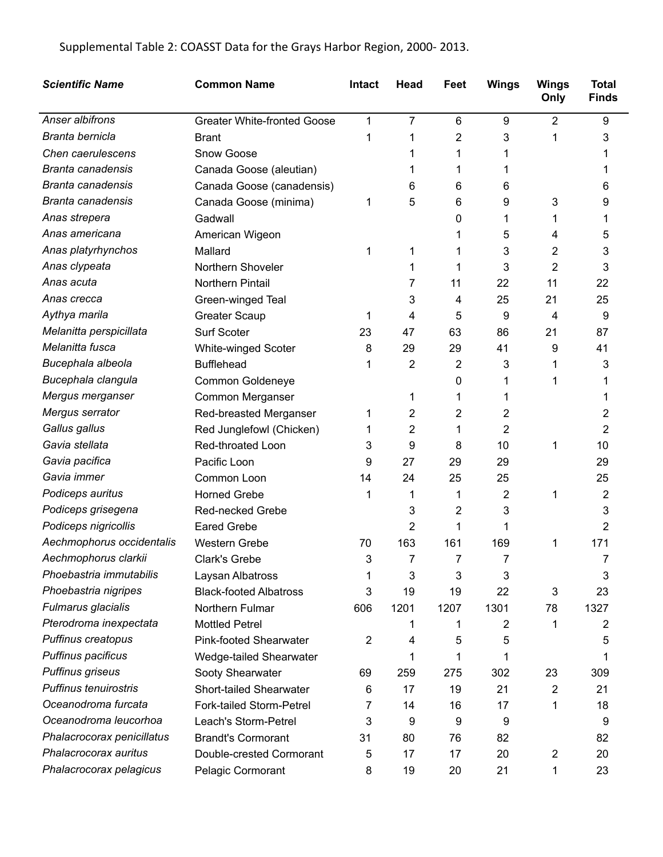### Supplemental Table 2: COASST Data for the Grays Harbor Region, 2000- 2013.

| <b>Scientific Name</b>       | <b>Common Name</b>                 | <b>Intact</b>  | Head           | Feet           | <b>Wings</b>   | <b>Wings</b><br>Only | <b>Total</b><br><b>Finds</b> |
|------------------------------|------------------------------------|----------------|----------------|----------------|----------------|----------------------|------------------------------|
| Anser albifrons              | <b>Greater White-fronted Goose</b> | 1              | 7              | $6\phantom{1}$ | 9              | $\overline{2}$       | 9                            |
| Branta bernicla              | <b>Brant</b>                       | 1              | 1              | 2              | 3              | 1                    | 3                            |
| Chen caerulescens            | Snow Goose                         |                |                | 1              | 1              |                      |                              |
| Branta canadensis            | Canada Goose (aleutian)            |                |                | 1              | 1              |                      |                              |
| Branta canadensis            | Canada Goose (canadensis)          |                | 6              | 6              | 6              |                      | 6                            |
| Branta canadensis            | Canada Goose (minima)              | 1              | 5              | 6              | 9              | 3                    | 9                            |
| Anas strepera                | Gadwall                            |                |                | 0              | 1              | 1                    | 1                            |
| Anas americana               | American Wigeon                    |                |                | 1              | 5              | 4                    | 5                            |
| Anas platyrhynchos           | Mallard                            | 1              | 1              | 1              | 3              | $\overline{2}$       | 3                            |
| Anas clypeata                | Northern Shoveler                  |                | 1              | 1              | 3              | $\overline{2}$       | 3                            |
| Anas acuta                   | Northern Pintail                   |                | 7              | 11             | 22             | 11                   | 22                           |
| Anas crecca                  | Green-winged Teal                  |                | 3              | 4              | 25             | 21                   | 25                           |
| Aythya marila                | <b>Greater Scaup</b>               | 1              | 4              | 5              | 9              | 4                    | 9                            |
| Melanitta perspicillata      | Surf Scoter                        | 23             | 47             | 63             | 86             | 21                   | 87                           |
| Melanitta fusca              | White-winged Scoter                | 8              | 29             | 29             | 41             | 9                    | 41                           |
| Bucephala albeola            | <b>Bufflehead</b>                  | 1              | $\overline{2}$ | $\overline{2}$ | 3              | 1                    | 3                            |
| Bucephala clangula           | Common Goldeneye                   |                |                | 0              | 1              | 1                    | 1                            |
| Mergus merganser             | Common Merganser                   |                | 1              | 1              | 1              |                      |                              |
| Mergus serrator              | Red-breasted Merganser             | 1              | 2              | 2              | 2              |                      | 2                            |
| Gallus gallus                | Red Junglefowl (Chicken)           | 1              | 2              | 1              | 2              |                      | 2                            |
| Gavia stellata               | Red-throated Loon                  | 3              | 9              | 8              | 10             | 1                    | 10                           |
| Gavia pacifica               | Pacific Loon                       | 9              | 27             | 29             | 29             |                      | 29                           |
| Gavia immer                  | Common Loon                        | 14             | 24             | 25             | 25             |                      | 25                           |
| Podiceps auritus             | <b>Horned Grebe</b>                | 1              | 1              | 1              | 2              | 1                    | 2                            |
| Podiceps grisegena           | Red-necked Grebe                   |                | 3              | 2              | 3              |                      | 3                            |
| Podiceps nigricollis         | <b>Eared Grebe</b>                 |                | 2              | 1              | 1              |                      | 2                            |
| Aechmophorus occidentalis    | <b>Western Grebe</b>               | 70             | 163            | 161            | 169            | 1                    | 171                          |
| Aechmophorus clarkii         | Clark's Grebe                      | 3              | 7              | 7              | $\overline{7}$ |                      | 7                            |
| Phoebastria immutabilis      | Laysan Albatross                   | 1              | 3              | 3              | 3              |                      | 3                            |
| Phoebastria nigripes         | <b>Black-footed Albatross</b>      | 3              | 19             | 19             | 22             | 3                    | 23                           |
| Fulmarus glacialis           | Northern Fulmar                    | 606            | 1201           | 1207           | 1301           | 78                   | 1327                         |
| Pterodroma inexpectata       | <b>Mottled Petrel</b>              |                | 1              | 1              | 2              | 1                    | $\overline{2}$               |
| Puffinus creatopus           | <b>Pink-footed Shearwater</b>      | $\overline{2}$ | 4              | 5              | 5              |                      | 5                            |
| Puffinus pacificus           | Wedge-tailed Shearwater            |                | 1              | 1              | 1              |                      | 1                            |
| Puffinus griseus             | Sooty Shearwater                   | 69             | 259            | 275            | 302            | 23                   | 309                          |
| <b>Puffinus tenuirostris</b> | Short-tailed Shearwater            | 6              | 17             | 19             | 21             | $\overline{2}$       | 21                           |
| Oceanodroma furcata          | Fork-tailed Storm-Petrel           | 7              | 14             | 16             | 17             | 1                    | 18                           |
| Oceanodroma leucorhoa        | Leach's Storm-Petrel               | 3              | 9              | 9              | 9              |                      | 9                            |
| Phalacrocorax penicillatus   | <b>Brandt's Cormorant</b>          | 31             | 80             | 76             | 82             |                      | 82                           |
| Phalacrocorax auritus        | Double-crested Cormorant           | 5              | 17             | 17             | 20             | $\overline{2}$       | 20                           |
| Phalacrocorax pelagicus      | Pelagic Cormorant                  | 8              | 19             | 20             | 21             | 1                    | 23                           |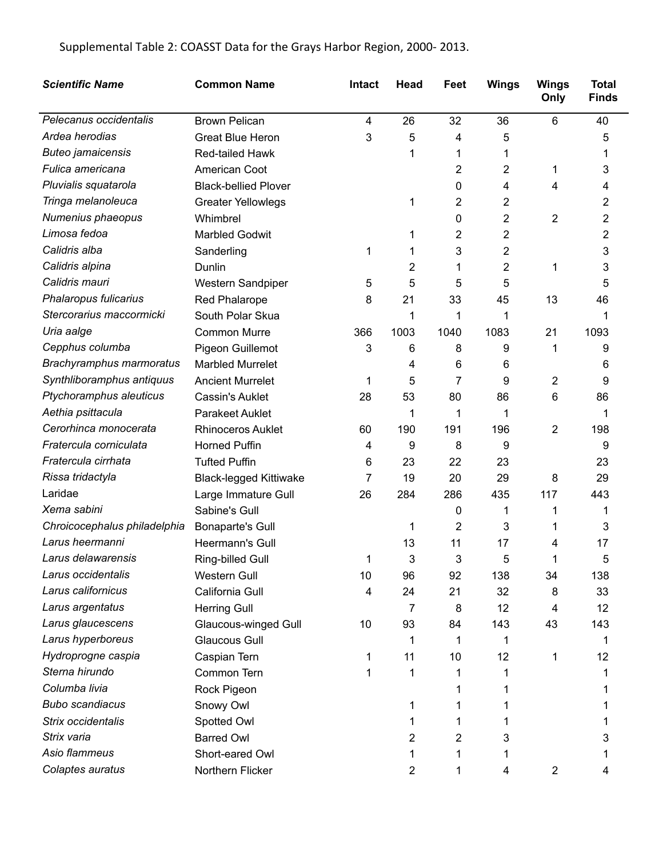### Supplemental Table 2: COASST Data for the Grays Harbor Region, 2000- 2013.

| <b>Scientific Name</b>       | <b>Common Name</b>            | <b>Intact</b> | Head | Feet | <b>Wings</b> | <b>Wings</b><br>Only | <b>Total</b><br><b>Finds</b> |
|------------------------------|-------------------------------|---------------|------|------|--------------|----------------------|------------------------------|
| Pelecanus occidentalis       | <b>Brown Pelican</b>          | 4             | 26   | 32   | 36           | 6                    | 40                           |
| Ardea herodias               | <b>Great Blue Heron</b>       | 3             | 5    | 4    | 5            |                      | 5                            |
| <b>Buteo jamaicensis</b>     | Red-tailed Hawk               |               | 1    | 1    | 1            |                      | 1                            |
| Fulica americana             | American Coot                 |               |      | 2    | 2            | 1                    | 3                            |
| Pluvialis squatarola         | <b>Black-bellied Plover</b>   |               |      | 0    | 4            | 4                    | 4                            |
| Tringa melanoleuca           | <b>Greater Yellowlegs</b>     |               | 1    | 2    | 2            |                      | 2                            |
| Numenius phaeopus            | Whimbrel                      |               |      | 0    | 2            | $\overline{2}$       | $\overline{2}$               |
| Limosa fedoa                 | <b>Marbled Godwit</b>         |               | 1    | 2    | 2            |                      | 2                            |
| Calidris alba                | Sanderling                    | 1             | 1    | 3    | 2            |                      | 3                            |
| Calidris alpina              | Dunlin                        |               | 2    | 1    | 2            | 1                    | 3                            |
| Calidris mauri               | Western Sandpiper             | 5             | 5    | 5    | 5            |                      | 5                            |
| Phalaropus fulicarius        | <b>Red Phalarope</b>          | 8             | 21   | 33   | 45           | 13                   | 46                           |
| Stercorarius maccormicki     | South Polar Skua              |               | 1    | 1    | 1            |                      | 1                            |
| Uria aalge                   | <b>Common Murre</b>           | 366           | 1003 | 1040 | 1083         | 21                   | 1093                         |
| Cepphus columba              | Pigeon Guillemot              | 3             | 6    | 8    | 9            | 1                    | 9                            |
| Brachyramphus marmoratus     | <b>Marbled Murrelet</b>       |               | 4    | 6    | 6            |                      | 6                            |
| Synthliboramphus antiquus    | <b>Ancient Murrelet</b>       | 1             | 5    | 7    | 9            | $\overline{2}$       | 9                            |
| Ptychoramphus aleuticus      | <b>Cassin's Auklet</b>        | 28            | 53   | 80   | 86           | 6                    | 86                           |
| Aethia psittacula            | <b>Parakeet Auklet</b>        |               | 1    | 1    | 1            |                      | 1                            |
| Cerorhinca monocerata        | <b>Rhinoceros Auklet</b>      | 60            | 190  | 191  | 196          | $\overline{2}$       | 198                          |
| Fratercula corniculata       | Horned Puffin                 | 4             | 9    | 8    | 9            |                      | 9                            |
| Fratercula cirrhata          | <b>Tufted Puffin</b>          | 6             | 23   | 22   | 23           |                      | 23                           |
| Rissa tridactyla             | <b>Black-legged Kittiwake</b> | 7             | 19   | 20   | 29           | 8                    | 29                           |
| Laridae                      | Large Immature Gull           | 26            | 284  | 286  | 435          | 117                  | 443                          |
| Xema sabini                  | Sabine's Gull                 |               |      | 0    | 1            | 1                    | 1                            |
| Chroicocephalus philadelphia | <b>Bonaparte's Gull</b>       |               | 1    | 2    | 3            | 1                    | 3                            |
| Larus heermanni              | Heermann's Gull               |               | 13   | 11   | 17           | 4                    | 17                           |
| Larus delawarensis           | Ring-billed Gull              | 1             | 3    | 3    | 5            | 1                    | 5                            |
| Larus occidentalis           | <b>Western Gull</b>           | 10            | 96   | 92   | 138          | 34                   | 138                          |
| Larus californicus           | California Gull               | 4             | 24   | 21   | 32           | 8                    | 33                           |
| Larus argentatus             | <b>Herring Gull</b>           |               | 7    | 8    | 12           | 4                    | 12                           |
| Larus glaucescens            | <b>Glaucous-winged Gull</b>   | 10            | 93   | 84   | 143          | 43                   | 143                          |
| Larus hyperboreus            | <b>Glaucous Gull</b>          |               | 1    | 1    | 1            |                      | 1                            |
| Hydroprogne caspia           | Caspian Tern                  | 1             | 11   | 10   | 12           | 1                    | 12                           |
| Sterna hirundo               | Common Tern                   | 1             | 1    | 1    | 1            |                      |                              |
| Columba livia                | Rock Pigeon                   |               |      | 1    | 1            |                      |                              |
| <b>Bubo scandiacus</b>       | Snowy Owl                     |               | 1    | 1    | 1            |                      |                              |
| Strix occidentalis           | Spotted Owl                   |               | 1    | 1    | 1            |                      |                              |
| Strix varia                  | <b>Barred Owl</b>             |               | 2    | 2    | 3            |                      | 3                            |
| Asio flammeus                | Short-eared Owl               |               | 1    | 1    | 1            |                      |                              |
| Colaptes auratus             | Northern Flicker              |               | 2    | 1    | 4            | $\overline{c}$       | 4                            |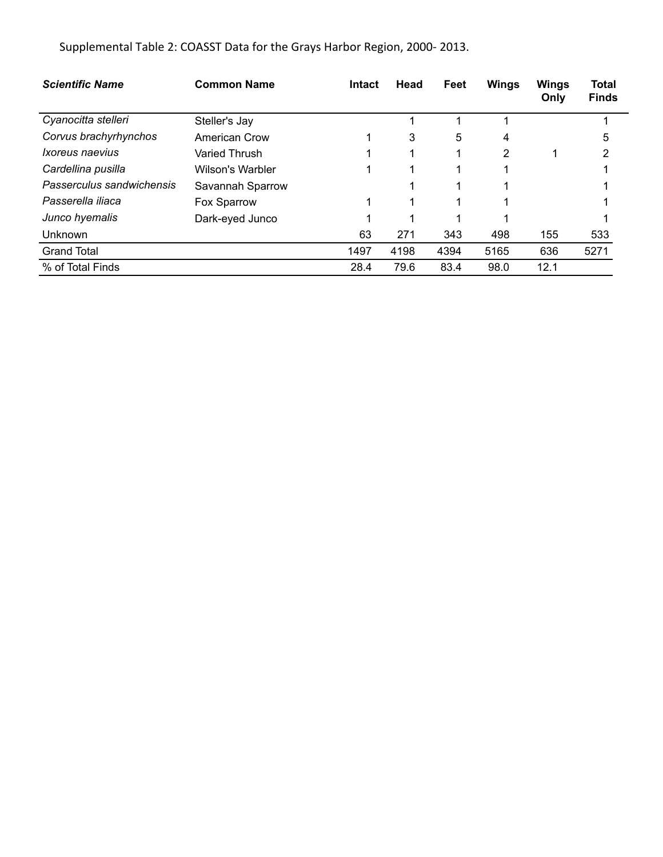Supplemental Table 2: COASST Data for the Grays Harbor Region, 2000- 2013.

| <b>Scientific Name</b>    | <b>Common Name</b> | <b>Intact</b> | Head | Feet | <b>Wings</b> | <b>Wings</b><br>Only | Total<br><b>Finds</b> |
|---------------------------|--------------------|---------------|------|------|--------------|----------------------|-----------------------|
| Cyanocitta stelleri       | Steller's Jay      |               |      |      |              |                      |                       |
| Corvus brachyrhynchos     | American Crow      |               | 3    | 5    | 4            |                      | 5                     |
| <i>Ixoreus naevius</i>    | Varied Thrush      |               |      |      | 2            |                      | 2                     |
| Cardellina pusilla        | Wilson's Warbler   |               |      |      |              |                      |                       |
| Passerculus sandwichensis | Savannah Sparrow   |               |      |      |              |                      |                       |
| Passerella iliaca         | Fox Sparrow        |               |      |      |              |                      |                       |
| Junco hyemalis            | Dark-eyed Junco    |               |      |      |              |                      |                       |
| <b>Unknown</b>            |                    | 63            | 271  | 343  | 498          | 155                  | 533                   |
| <b>Grand Total</b>        |                    | 1497          | 4198 | 4394 | 5165         | 636                  | 5271                  |
| % of Total Finds          |                    | 28.4          | 79.6 | 83.4 | 98.0         | 12.1                 |                       |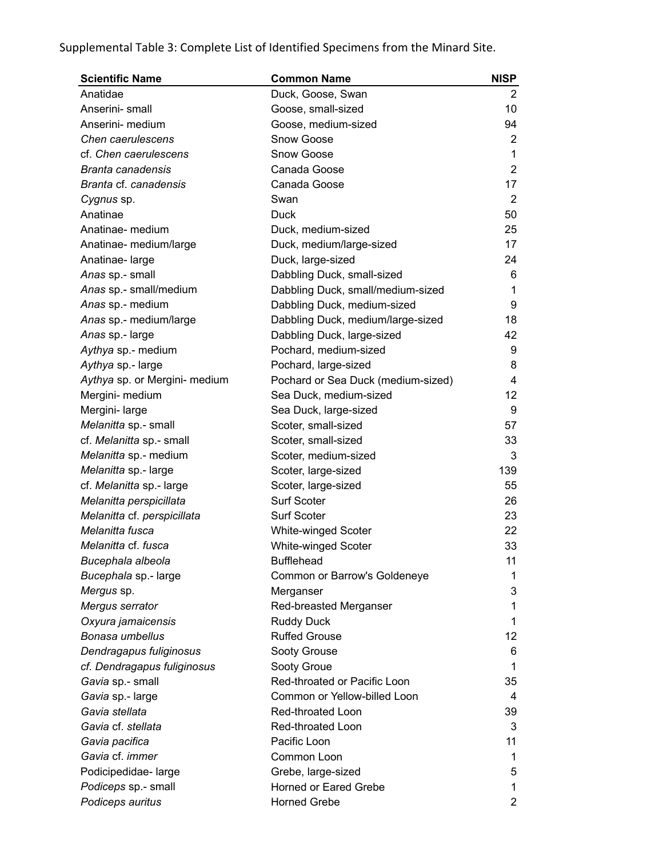Supplemental Table 3: Complete List of Identified Specimens from the Minard Site.

| <b>Scientific Name</b>        | <b>Common Name</b>                 | <b>NISP</b>    |
|-------------------------------|------------------------------------|----------------|
| Anatidae                      | Duck, Goose, Swan                  | 2              |
| Anserini-small                | Goose, small-sized                 | 10             |
| Anserini- medium              | Goose, medium-sized                | 94             |
| Chen caerulescens             | Snow Goose                         | $\overline{2}$ |
| cf. Chen caerulescens         | Snow Goose                         | 1              |
| Branta canadensis             | Canada Goose                       | $\overline{2}$ |
| Branta cf. canadensis         | Canada Goose                       | 17             |
| Cygnus sp.                    | Swan                               | 2              |
| Anatinae                      | <b>Duck</b>                        | 50             |
| Anatinae- medium              | Duck, medium-sized                 | 25             |
| Anatinae- medium/large        | Duck, medium/large-sized           | 17             |
| Anatinae-large                | Duck, large-sized                  | 24             |
| Anas sp.- small               | Dabbling Duck, small-sized         | 6              |
| Anas sp.- small/medium        | Dabbling Duck, small/medium-sized  | 1              |
| Anas sp.- medium              | Dabbling Duck, medium-sized        | 9              |
| Anas sp.- medium/large        | Dabbling Duck, medium/large-sized  | 18             |
| Anas sp.- large               | Dabbling Duck, large-sized         | 42             |
| Aythya sp.- medium            | Pochard, medium-sized              | 9              |
| Aythya sp.- large             | Pochard, large-sized               | 8              |
| Aythya sp. or Mergini- medium | Pochard or Sea Duck (medium-sized) | 4              |
| Mergini- medium               | Sea Duck, medium-sized             | 12             |
| Mergini-large                 | Sea Duck, large-sized              | 9              |
| Melanitta sp.- small          | Scoter, small-sized                | 57             |
| cf. Melanitta sp.- small      | Scoter, small-sized                | 33             |
| Melanitta sp.- medium         | Scoter, medium-sized               | 3              |
| Melanitta sp.- large          | Scoter, large-sized                | 139            |
| cf. Melanitta sp.- large      | Scoter, large-sized                | 55             |
| Melanitta perspicillata       | Surf Scoter                        | 26             |
| Melanitta cf. perspicillata   | Surf Scoter                        | 23             |
| Melanitta fusca               | White-winged Scoter                | 22             |
| Melanitta cf. fusca           | White-winged Scoter                | 33             |
| Bucephala albeola             | <b>Bufflehead</b>                  | 11             |
| Bucephala sp.- large          | Common or Barrow's Goldeneye       | 1              |
| Mergus sp.                    | Merganser                          | 3              |
| Mergus serrator               | Red-breasted Merganser             | 1              |
| Oxyura jamaicensis            | <b>Ruddy Duck</b>                  | 1              |
| Bonasa umbellus               | <b>Ruffed Grouse</b>               | 12             |
| Dendragapus fuliginosus       | Sooty Grouse                       | 6              |
| cf. Dendragapus fuliginosus   | Sooty Groue                        | 1              |
| Gavia sp.- small              | Red-throated or Pacific Loon       | 35             |
| Gavia sp.- large              | Common or Yellow-billed Loon       | 4              |
| Gavia stellata                | Red-throated Loon                  | 39             |
| Gavia cf. stellata            | Red-throated Loon                  | 3              |
| Gavia pacifica                | Pacific Loon                       | 11             |
| Gavia cf. immer               | Common Loon                        | 1              |
| Podicipedidae-large           | Grebe, large-sized                 | 5              |
| Podiceps sp.- small           | <b>Horned or Eared Grebe</b>       | 1              |
| Podiceps auritus              | <b>Horned Grebe</b>                | $\overline{2}$ |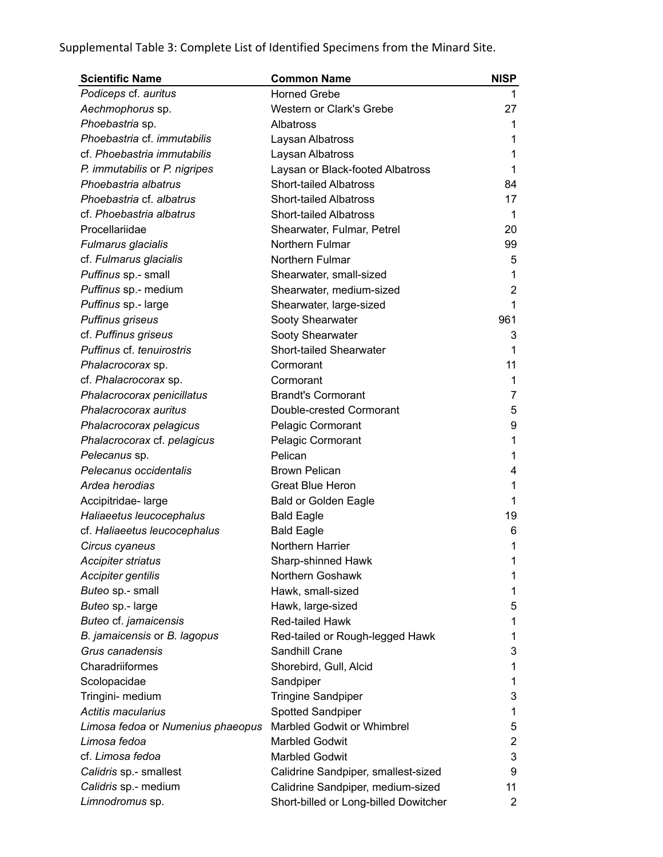Supplemental Table 3: Complete List of Identified Specimens from the Minard Site.

| <b>Scientific Name</b>            | <b>Common Name</b>                    | <b>NISP</b>    |
|-----------------------------------|---------------------------------------|----------------|
| Podiceps cf. auritus              | <b>Horned Grebe</b>                   | 1              |
| Aechmophorus sp.                  | Western or Clark's Grebe              | 27             |
| Phoebastria sp.                   | Albatross                             | 1              |
| Phoebastria cf. immutabilis       | Laysan Albatross                      | 1              |
| cf. Phoebastria immutabilis       | Laysan Albatross                      | 1              |
| P. immutabilis or P. nigripes     | Laysan or Black-footed Albatross      | 1              |
| Phoebastria albatrus              | <b>Short-tailed Albatross</b>         | 84             |
| Phoebastria cf. albatrus          | <b>Short-tailed Albatross</b>         | 17             |
| cf. Phoebastria albatrus          | <b>Short-tailed Albatross</b>         | 1              |
| Procellariidae                    | Shearwater, Fulmar, Petrel            | 20             |
| Fulmarus glacialis                | Northern Fulmar                       | 99             |
| cf. Fulmarus glacialis            | <b>Northern Fulmar</b>                | 5              |
| Puffinus sp.- small               | Shearwater, small-sized               | 1              |
| Puffinus sp.- medium              | Shearwater, medium-sized              | $\overline{2}$ |
| Puffinus sp.- large               | Shearwater, large-sized               | 1              |
| <b>Puffinus griseus</b>           | Sooty Shearwater                      | 961            |
| cf. Puffinus griseus              | Sooty Shearwater                      | 3              |
| Puffinus cf. tenuirostris         | Short-tailed Shearwater               | 1              |
| Phalacrocorax sp.                 | Cormorant                             | 11             |
| cf. Phalacrocorax sp.             | Cormorant                             | 1              |
| Phalacrocorax penicillatus        | <b>Brandt's Cormorant</b>             | $\overline{7}$ |
| Phalacrocorax auritus             | Double-crested Cormorant              | 5              |
| Phalacrocorax pelagicus           | Pelagic Cormorant                     | 9              |
| Phalacrocorax cf. pelagicus       | <b>Pelagic Cormorant</b>              | 1              |
| Pelecanus sp.                     | Pelican                               | 1              |
| Pelecanus occidentalis            | <b>Brown Pelican</b>                  | 4              |
| Ardea herodias                    | <b>Great Blue Heron</b>               | 1              |
| Accipitridae-large                | <b>Bald or Golden Eagle</b>           | 1              |
| Haliaeetus leucocephalus          | <b>Bald Eagle</b>                     | 19             |
| cf. Haliaeetus leucocephalus      | <b>Bald Eagle</b>                     | 6              |
| Circus cyaneus                    | Northern Harrier                      | 1              |
| <b>Accipiter striatus</b>         | Sharp-shinned Hawk                    | 1              |
| Accipiter gentilis                | Northern Goshawk                      | 1              |
| Buteo sp.- small                  | Hawk, small-sized                     | 1              |
| Buteo sp.- large                  | Hawk, large-sized                     | 5              |
| Buteo cf. jamaicensis             | Red-tailed Hawk                       | 1              |
| B. jamaicensis or B. lagopus      | Red-tailed or Rough-legged Hawk       | 1              |
| Grus canadensis                   | Sandhill Crane                        | 3              |
| Charadriiformes                   | Shorebird, Gull, Alcid                | 1              |
| Scolopacidae                      | Sandpiper                             | 1              |
| Tringini- medium                  | <b>Tringine Sandpiper</b>             | 3              |
| Actitis macularius                | Spotted Sandpiper                     | 1              |
| Limosa fedoa or Numenius phaeopus | Marbled Godwit or Whimbrel            | 5              |
| Limosa fedoa                      | <b>Marbled Godwit</b>                 | $\overline{2}$ |
| cf. Limosa fedoa                  | <b>Marbled Godwit</b>                 | 3              |
| Calidris sp.- smallest            | Calidrine Sandpiper, smallest-sized   | 9              |
| Calidris sp.- medium              | Calidrine Sandpiper, medium-sized     | 11             |
| Limnodromus sp.                   | Short-billed or Long-billed Dowitcher | $\overline{2}$ |